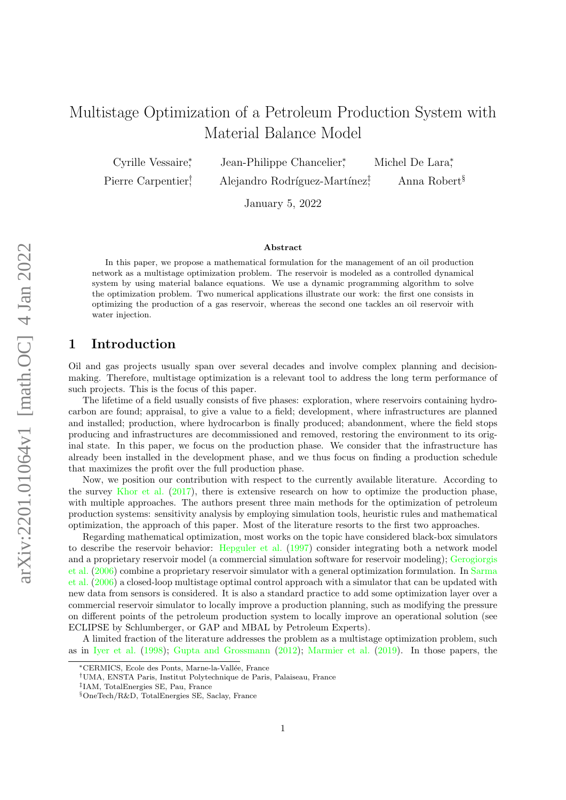# Multistage Optimization of a Petroleum Production System with Material Balance Model

Cyrille Vessaire<sup>∗</sup> Pierre Carpentier†

Jean-Philippe Chancelier<sup>\*</sup> , Michel De Lara<sup>∗</sup> , Alejandro Rodríguez-Martínez $\ddagger$ , Anna Robert§

January 5, 2022

### Abstract

In this paper, we propose a mathematical formulation for the management of an oil production network as a multistage optimization problem. The reservoir is modeled as a controlled dynamical system by using material balance equations. We use a dynamic programming algorithm to solve the optimization problem. Two numerical applications illustrate our work: the first one consists in optimizing the production of a gas reservoir, whereas the second one tackles an oil reservoir with water injection.

### 1 Introduction

Oil and gas projects usually span over several decades and involve complex planning and decisionmaking. Therefore, multistage optimization is a relevant tool to address the long term performance of such projects. This is the focus of this paper.

The lifetime of a field usually consists of five phases: exploration, where reservoirs containing hydrocarbon are found; appraisal, to give a value to a field; development, where infrastructures are planned and installed; production, where hydrocarbon is finally produced; abandonment, where the field stops producing and infrastructures are decommissioned and removed, restoring the environment to its original state. In this paper, we focus on the production phase. We consider that the infrastructure has already been installed in the development phase, and we thus focus on finding a production schedule that maximizes the profit over the full production phase.

Now, we position our contribution with respect to the currently available literature. According to the survey [Khor et al.](#page-24-0) [\(2017\)](#page-24-0), there is extensive research on how to optimize the production phase, with multiple approaches. The authors present three main methods for the optimization of petroleum production systems: sensitivity analysis by employing simulation tools, heuristic rules and mathematical optimization, the approach of this paper. Most of the literature resorts to the first two approaches.

Regarding mathematical optimization, most works on the topic have considered black-box simulators to describe the reservoir behavior: [Hepguler et al.](#page-24-1) [\(1997\)](#page-24-1) consider integrating both a network model and a proprietary reservoir model (a commercial simulation software for reservoir modeling); [Gerogiorgis](#page-24-2) [et al.](#page-24-2) [\(2006\)](#page-24-2) combine a proprietary reservoir simulator with a general optimization formulation. In [Sarma](#page-24-3) [et al.](#page-24-3) [\(2006\)](#page-24-3) a closed-loop multistage optimal control approach with a simulator that can be updated with new data from sensors is considered. It is also a standard practice to add some optimization layer over a commercial reservoir simulator to locally improve a production planning, such as modifying the pressure on different points of the petroleum production system to locally improve an operational solution (see ECLIPSE by Schlumberger, or GAP and MBAL by Petroleum Experts).

A limited fraction of the literature addresses the problem as a multistage optimization problem, such as in [Iyer et al.](#page-24-4) [\(1998\)](#page-24-4); [Gupta and Grossmann](#page-24-5) [\(2012\)](#page-24-5); [Marmier et al.](#page-24-6) [\(2019\)](#page-24-6). In those papers, the

<sup>∗</sup>CERMICS, Ecole des Ponts, Marne-la-Vall´ee, France

<sup>†</sup>UMA, ENSTA Paris, Institut Polytechnique de Paris, Palaiseau, France

<sup>‡</sup> IAM, TotalEnergies SE, Pau, France

<sup>§</sup>OneTech/R&D, TotalEnergies SE, Saclay, France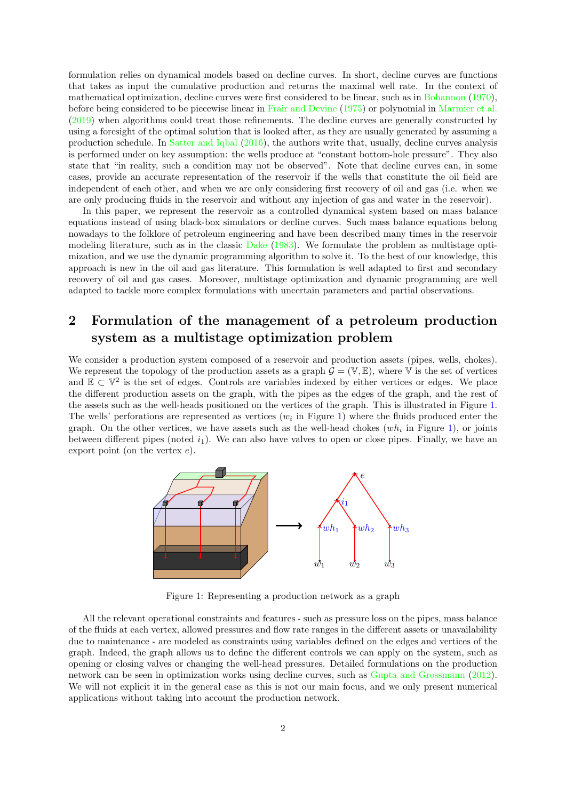formulation relies on dynamical models based on decline curves. In short, decline curves are functions that takes as input the cumulative production and returns the maximal well rate. In the context of mathematical optimization, decline curves were first considered to be linear, such as in [Bohannon](#page-23-0) [\(1970\)](#page-23-0), before being considered to be piecewise linear in [Frair and Devine](#page-24-7) [\(1975\)](#page-24-7) or polynomial in [Marmier et al.](#page-24-6) [\(2019\)](#page-24-6) when algorithms could treat those refinements. The decline curves are generally constructed by using a foresight of the optimal solution that is looked after, as they are usually generated by assuming a production schedule. In [Satter and Iqbal](#page-24-8) [\(2016\)](#page-24-8), the authors write that, usually, decline curves analysis is performed under on key assumption: the wells produce at "constant bottom-hole pressure". They also state that "in reality, such a condition may not be observed". Note that decline curves can, in some cases, provide an accurate representation of the reservoir if the wells that constitute the oil field are independent of each other, and when we are only considering first recovery of oil and gas (i.e. when we are only producing fluids in the reservoir and without any injection of gas and water in the reservoir).

In this paper, we represent the reservoir as a controlled dynamical system based on mass balance equations instead of using black-box simulators or decline curves. Such mass balance equations belong nowadays to the folklore of petroleum engineering and have been described many times in the reservoir modeling literature, such as in the classic [Dake](#page-23-1) [\(1983\)](#page-23-1). We formulate the problem as multistage optimization, and we use the dynamic programming algorithm to solve it. To the best of our knowledge, this approach is new in the oil and gas literature. This formulation is well adapted to first and secondary recovery of oil and gas cases. Moreover, multistage optimization and dynamic programming are well adapted to tackle more complex formulations with uncertain parameters and partial observations.

# 2 Formulation of the management of a petroleum production system as a multistage optimization problem

We consider a production system composed of a reservoir and production assets (pipes, wells, chokes). We represent the topology of the production assets as a graph  $\mathcal{G} = (\mathbb{V}, \mathbb{E})$ , where  $\mathbb{V}$  is the set of vertices and  $\mathbb{E} \subset \mathbb{V}^2$  is the set of edges. Controls are variables indexed by either vertices or edges. We place the different production assets on the graph, with the pipes as the edges of the graph, and the rest of the assets such as the well-heads positioned on the vertices of the graph. This is illustrated in Figure [1.](#page-1-0) The wells' perforations are represented as vertices  $(w<sub>i</sub>$  in Figure [1\)](#page-1-0) where the fluids produced enter the graph. On the other vertices, we have assets such as the well-head chokes  $(wh_i$  in Figure [1\)](#page-1-0), or joints between different pipes (noted  $i_1$ ). We can also have valves to open or close pipes. Finally, we have an export point (on the vertex  $e$ ).



<span id="page-1-0"></span>Figure 1: Representing a production network as a graph

All the relevant operational constraints and features - such as pressure loss on the pipes, mass balance of the fluids at each vertex, allowed pressures and flow rate ranges in the different assets or unavailability due to maintenance - are modeled as constraints using variables defined on the edges and vertices of the graph. Indeed, the graph allows us to define the different controls we can apply on the system, such as opening or closing valves or changing the well-head pressures. Detailed formulations on the production network can be seen in optimization works using decline curves, such as [Gupta and Grossmann](#page-24-5) [\(2012\)](#page-24-5). We will not explicit it in the general case as this is not our main focus, and we only present numerical applications without taking into account the production network.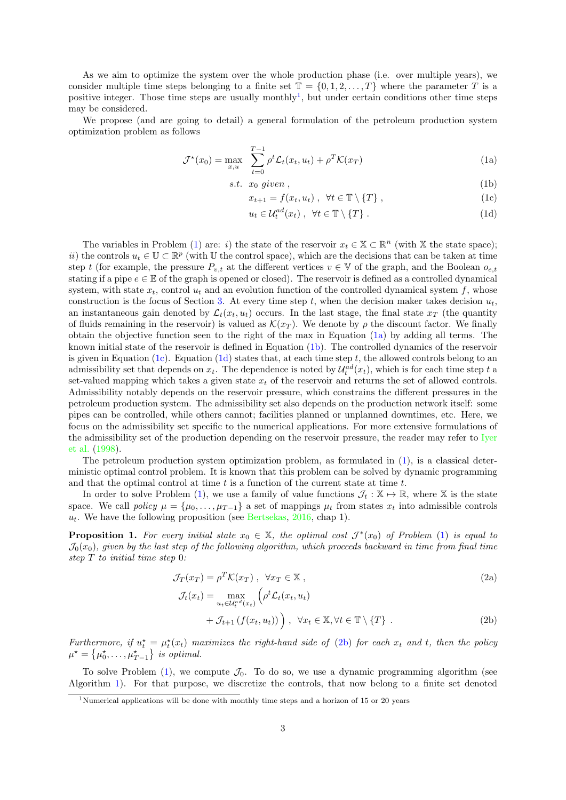As we aim to optimize the system over the whole production phase (i.e. over multiple years), we consider multiple time steps belonging to a finite set  $\mathbb{T} = \{0, 1, 2, \ldots, T\}$  where the parameter T is a positive integer. Those time steps are usually monthly<sup>[1](#page-2-0)</sup>, but under certain conditions other time steps may be considered.

We propose (and are going to detail) a general formulation of the petroleum production system optimization problem as follows

$$
\mathcal{J}^*(x_0) = \max_{x,u} \sum_{t=0}^{T-1} \rho^t \mathcal{L}_t(x_t, u_t) + \rho^T \mathcal{K}(x_T)
$$
\n(1a)

$$
s.t. \ x_0 \ given \t{,}
$$

<span id="page-2-3"></span><span id="page-2-2"></span>
$$
x_{t+1} = f(x_t, u_t) , \forall t \in \mathbb{T} \setminus \{T\} , \qquad (1c)
$$

<span id="page-2-4"></span><span id="page-2-1"></span>
$$
u_t \in \mathcal{U}_t^{ad}(x_t) , \quad \forall t \in \mathbb{T} \setminus \{T\} . \tag{1d}
$$

The variables in Problem [\(1\)](#page-2-1) are: *i*) the state of the reservoir  $x_t \in \mathbb{X} \subset \mathbb{R}^n$  (with X the state space); *ii*) the controls  $u_t \in \mathbb{U} \subset \mathbb{R}^p$  (with  $\mathbb{U}$  the control space), which are the decisions that can be taken at time step t (for example, the pressure  $P_{v,t}$  at the different vertices  $v \in V$  of the graph, and the Boolean  $o_{e,t}$ stating if a pipe  $e \in \mathbb{E}$  of the graph is opened or closed). The reservoir is defined as a controlled dynamical system, with state  $x_t$ , control  $u_t$  and an evolution function of the controlled dynamical system f, whose construction is the focus of Section [3.](#page-3-0) At every time step t, when the decision maker takes decision  $u_t$ , an instantaneous gain denoted by  $\mathcal{L}_t(x_t, u_t)$  occurs. In the last stage, the final state  $x_T$  (the quantity of fluids remaining in the reservoir) is valued as  $\mathcal{K}(x_T)$ . We denote by  $\rho$  the discount factor. We finally obtain the objective function seen to the right of the max in Equation [\(1a\)](#page-2-2) by adding all terms. The known initial state of the reservoir is defined in Equation [\(1b\)](#page-2-3). The controlled dynamics of the reservoir is given in Equation [\(1c\)](#page-2-4). Equation [\(1d\)](#page-2-1) states that, at each time step  $t$ , the allowed controls belong to an admissibility set that depends on  $x_t$ . The dependence is noted by  $\mathcal{U}_t^{ad}(x_t)$ , which is for each time step t a set-valued mapping which takes a given state  $x_t$  of the reservoir and returns the set of allowed controls. Admissibility notably depends on the reservoir pressure, which constrains the different pressures in the petroleum production system. The admissibility set also depends on the production network itself: some pipes can be controlled, while others cannot; facilities planned or unplanned downtimes, etc. Here, we focus on the admissibility set specific to the numerical applications. For more extensive formulations of the admissibility set of the production depending on the reservoir pressure, the reader may refer to [Iyer](#page-24-4) [et al.](#page-24-4) [\(1998\)](#page-24-4).

The petroleum production system optimization problem, as formulated in [\(1\)](#page-2-1), is a classical deterministic optimal control problem. It is known that this problem can be solved by dynamic programming and that the optimal control at time  $t$  is a function of the current state at time  $t$ .

In order to solve Problem [\(1\)](#page-2-1), we use a family of value functions  $\mathcal{J}_t : \mathbb{X} \to \mathbb{R}$ , where X is the state space. We call policy  $\mu = {\mu_0, \ldots, \mu_{T-1}}$  a set of mappings  $\mu_t$  from states  $x_t$  into admissible controls  $u_t$ . We have the following proposition (see [Bertsekas,](#page-23-2) [2016,](#page-23-2) chap 1).

**Proposition 1.** For every initial state  $x_0 \in \mathbb{X}$ , the optimal cost  $\mathcal{J}^*(x_0)$  of Problem [\(1\)](#page-2-1) is equal to  $\mathcal{J}_0(x_0)$ , given by the last step of the following algorithm, which proceeds backward in time from final time step T to initial time step 0:

$$
\mathcal{J}_T(x_T) = \rho^T \mathcal{K}(x_T) \ , \ \ \forall x_T \in \mathbb{X} \ , \tag{2a}
$$

<span id="page-2-5"></span>
$$
\mathcal{J}_t(x_t) = \max_{u_t \in \mathcal{U}_t^{ad}(x_t)} \left( \rho^t \mathcal{L}_t(x_t, u_t) + \mathcal{J}_{t+1} \left( f(x_t, u_t) \right) \right), \ \forall x_t \in \mathbb{X}, \forall t \in \mathbb{T} \setminus \{T\} .
$$
\n(2b)

Furthermore, if  $u_t^* = \mu_t^*(x_t)$  maximizes the right-hand side of [\(2b\)](#page-2-5) for each  $x_t$  and t, then the policy  $\mu^* = \{\mu_0^*, \ldots, \mu_{T-1}^*\}$  is optimal.

To solve Problem  $(1)$ , we compute  $\mathcal{J}_0$ . To do so, we use a dynamic programming algorithm (see Algorithm [1\)](#page-3-1). For that purpose, we discretize the controls, that now belong to a finite set denoted

<span id="page-2-0"></span><sup>&</sup>lt;sup>1</sup>Numerical applications will be done with monthly time steps and a horizon of 15 or 20 years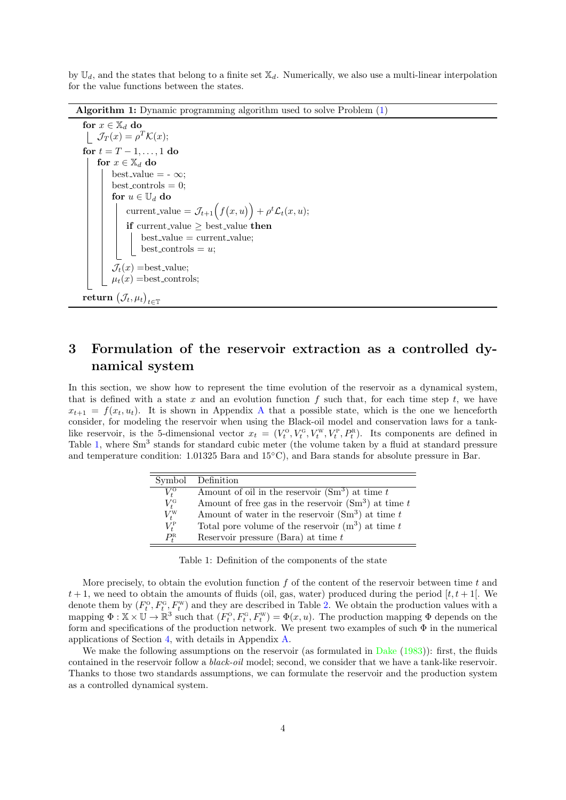by  $\mathbb{U}_d$ , and the states that belong to a finite set  $\mathbb{X}_d$ . Numerically, we also use a multi-linear interpolation for the value functions between the states.

Algorithm 1: Dynamic programming algorithm used to solve Problem [\(1\)](#page-2-1)

```
for x \in \mathbb{X}_d do
\mathcal{J}_T(x) = \rho^T \mathcal{K}(x);for t = T - 1, \ldots, 1 do
for x \in \mathbb{X}_d do
     best_value = -\infty;
     best\_controls = 0;for u \in \mathbb{U}_d do
           current_value = \mathcal{J}_{t+1}(f(x, u)) + \rho^t \mathcal{L}_t(x, u);if current value \geq best value then
               best_value = current_value;best\_controls = u;\mathcal{J}_t(x) = \text{best_value};\mu_t(x) = \text{best\_controls};\mathbf{return}\ \big(\mathcal{J}_t,\mu_t\big)_{t\in\mathbb{T}}
```
# <span id="page-3-1"></span><span id="page-3-0"></span>3 Formulation of the reservoir extraction as a controlled dynamical system

In this section, we show how to represent the time evolution of the reservoir as a dynamical system, that is defined with a state x and an evolution function  $f$  such that, for each time step  $t$ , we have  $x_{t+1} = f(x_t, u_t)$ . It is shown in [A](#page-14-0)ppendix A that a possible state, which is the one we henceforth consider, for modeling the reservoir when using the Black-oil model and conservation laws for a tanklike reservoir, is the 5-dimensional vector  $x_t = (V_t^0, V_t^0, V_t^w, V_t^p, P_t^R)$ . Its components are defined in Table [1,](#page-3-2) where Sm<sup>3</sup> stands for standard cubic meter (the volume taken by a fluid at standard pressure and temperature condition: 1.01325 Bara and 15◦C), and Bara stands for absolute pressure in Bar.

| Symbol              | Definition                                                        |
|---------------------|-------------------------------------------------------------------|
| $V_t^{\rm o}$       | Amount of oil in the reservoir $(Sm3)$ at time t                  |
| $V_t^{\rm G}$       | Amount of free gas in the reservoir $(\mathrm{Sm}^3)$ at time $t$ |
| $V_t^{\rm W}$       | Amount of water in the reservoir $(Sm3)$ at time t                |
| $V_t^{\rm P}$       | Total pore volume of the reservoir $(m^3)$ at time t              |
| $P_{\rm t}^{\rm R}$ | Reservoir pressure (Bara) at time $t$                             |

<span id="page-3-2"></span>Table 1: Definition of the components of the state

More precisely, to obtain the evolution function  $f$  of the content of the reservoir between time  $t$  and  $t+1$ , we need to obtain the amounts of fluids (oil, gas, water) produced during the period  $[t, t+1]$ . We denote them by  $(F_t^{\circ}, F_t^{\circ}, F_t^{\rm w})$  and they are described in Table [2.](#page-4-0) We obtain the production values with a mapping  $\Phi: \mathbb{X} \times \mathbb{U} \to \mathbb{R}^3$  such that  $(F_t^0, F_t^0, F_t^w) = \Phi(x, u)$ . The production mapping  $\Phi$  depends on the form and specifications of the production network. We present two examples of such Φ in the numerical applications of Section [4,](#page-4-1) with details in Appendix [A.](#page-14-0)

We make the following assumptions on the reservoir (as formulated in [Dake](#page-23-1) [\(1983\)](#page-23-1)): first, the fluids contained in the reservoir follow a black-oil model; second, we consider that we have a tank-like reservoir. Thanks to those two standards assumptions, we can formulate the reservoir and the production system as a controlled dynamical system.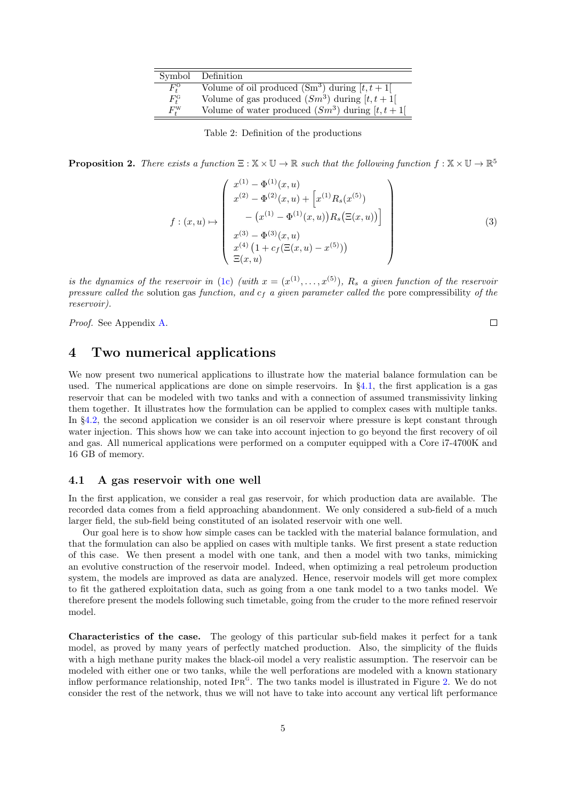|                     | Symbol Definition                                   |
|---------------------|-----------------------------------------------------|
| $F_t^{\rm o}$       | Volume of oil produced $(Sm^3)$ during $[t, t+1]$   |
| $F^{\rm G}_t$       | Volume of gas produced $(Sm^3)$ during $[t, t+1]$   |
| $F_{\star}^{\rm W}$ | Volume of water produced $(Sm^3)$ during $[t, t+1]$ |

<span id="page-4-0"></span>Table 2: Definition of the productions

**Proposition 2.** There exists a function  $\Xi : \mathbb{X} \times \mathbb{U} \to \mathbb{R}$  such that the following function  $f : \mathbb{X} \times \mathbb{U} \to \mathbb{R}^5$ 

<span id="page-4-3"></span>
$$
f: (x, u) \mapsto \begin{pmatrix} x^{(1)} - \Phi^{(1)}(x, u) \\ x^{(2)} - \Phi^{(2)}(x, u) + \left[ x^{(1)} R_s(x^{(5)}) \\ - (x^{(1)} - \Phi^{(1)}(x, u)) R_s(\Xi(x, u)) \right] \\ x^{(3)} - \Phi^{(3)}(x, u) \\ x^{(4)} \left( 1 + c_f(\Xi(x, u) - x^{(5)}) \right) \\ \Xi(x, u) \end{pmatrix}
$$
(3)

is the dynamics of the reservoir in [\(1c\)](#page-2-4) (with  $x = (x^{(1)},...,x^{(5)})$ ,  $R_s$  a given function of the reservoir pressure called the solution gas function, and  $c_f$  a given parameter called the pore compressibility of the reservoir).

Proof. See Appendix [A.](#page-14-0)

 $\Box$ 

### <span id="page-4-1"></span>4 Two numerical applications

We now present two numerical applications to illustrate how the material balance formulation can be used. The numerical applications are done on simple reservoirs. In  $\S4.1$ , the first application is a gas reservoir that can be modeled with two tanks and with a connection of assumed transmissivity linking them together. It illustrates how the formulation can be applied to complex cases with multiple tanks. In §[4.2,](#page-12-0) the second application we consider is an oil reservoir where pressure is kept constant through water injection. This shows how we can take into account injection to go beyond the first recovery of oil and gas. All numerical applications were performed on a computer equipped with a Core i7-4700K and 16 GB of memory.

#### <span id="page-4-2"></span>4.1 A gas reservoir with one well

In the first application, we consider a real gas reservoir, for which production data are available. The recorded data comes from a field approaching abandonment. We only considered a sub-field of a much larger field, the sub-field being constituted of an isolated reservoir with one well.

Our goal here is to show how simple cases can be tackled with the material balance formulation, and that the formulation can also be applied on cases with multiple tanks. We first present a state reduction of this case. We then present a model with one tank, and then a model with two tanks, mimicking an evolutive construction of the reservoir model. Indeed, when optimizing a real petroleum production system, the models are improved as data are analyzed. Hence, reservoir models will get more complex to fit the gathered exploitation data, such as going from a one tank model to a two tanks model. We therefore present the models following such timetable, going from the cruder to the more refined reservoir model.

Characteristics of the case. The geology of this particular sub-field makes it perfect for a tank model, as proved by many years of perfectly matched production. Also, the simplicity of the fluids with a high methane purity makes the black-oil model a very realistic assumption. The reservoir can be modeled with either one or two tanks, while the well perforations are modeled with a known stationary inflow performance relationship, noted IPR<sup>G</sup>. The two tanks model is illustrated in Figure [2.](#page-5-0) We do not consider the rest of the network, thus we will not have to take into account any vertical lift performance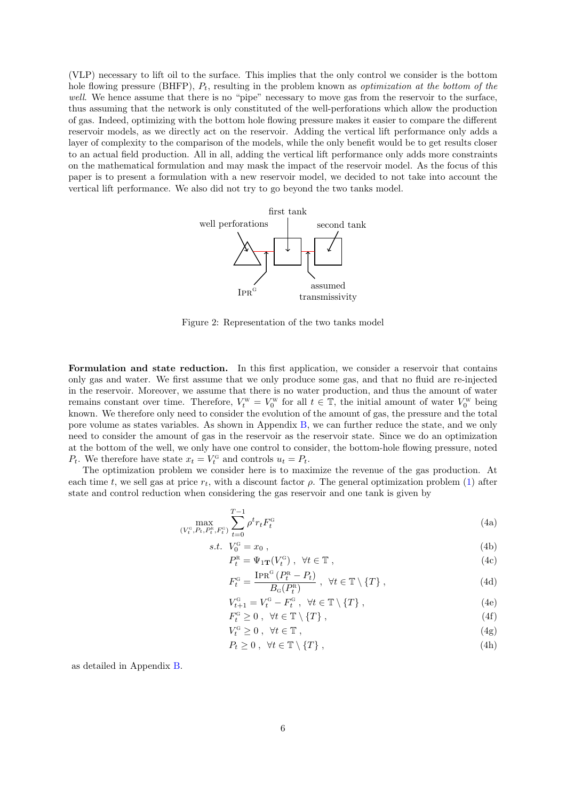(VLP) necessary to lift oil to the surface. This implies that the only control we consider is the bottom hole flowing pressure (BHFP),  $P_t$ , resulting in the problem known as *optimization at the bottom of the* well. We hence assume that there is no "pipe" necessary to move gas from the reservoir to the surface, thus assuming that the network is only constituted of the well-perforations which allow the production of gas. Indeed, optimizing with the bottom hole flowing pressure makes it easier to compare the different reservoir models, as we directly act on the reservoir. Adding the vertical lift performance only adds a layer of complexity to the comparison of the models, while the only benefit would be to get results closer to an actual field production. All in all, adding the vertical lift performance only adds more constraints on the mathematical formulation and may mask the impact of the reservoir model. As the focus of this paper is to present a formulation with a new reservoir model, we decided to not take into account the vertical lift performance. We also did not try to go beyond the two tanks model.



<span id="page-5-0"></span>Figure 2: Representation of the two tanks model

Formulation and state reduction. In this first application, we consider a reservoir that contains only gas and water. We first assume that we only produce some gas, and that no fluid are re-injected in the reservoir. Moreover, we assume that there is no water production, and thus the amount of water remains constant over time. Therefore,  $V_t^{\text{w}} = V_0^{\text{w}}$  for all  $t \in \mathbb{T}$ , the initial amount of water  $V_0^{\text{w}}$  being known. We therefore only need to consider the evolution of the amount of gas, the pressure and the total pore volume as states variables. As shown in Appendix [B,](#page-18-0) we can further reduce the state, and we only need to consider the amount of gas in the reservoir as the reservoir state. Since we do an optimization at the bottom of the well, we only have one control to consider, the bottom-hole flowing pressure, noted  $P_t$ . We therefore have state  $x_t = V_t^c$  and controls  $u_t = P_t$ .

The optimization problem we consider here is to maximize the revenue of the gas production. At each time t, we sell gas at price  $r_t$ , with a discount factor  $\rho$ . The general optimization problem [\(1\)](#page-2-1) after state and control reduction when considering the gas reservoir and one tank is given by

$$
\max_{(V_t^c, P_t, P_t^c, F_t^c)} \sum_{t=0}^{T-1} \rho^t r_t F_t^c
$$
\n(4a)

$$
s.t. V_0^{\text{G}} = x_0 , \t\t(4b)
$$

$$
P_t^{\rm R} = \Psi_{1\mathbf{T}}(V_t^{\rm G}), \quad \forall t \in \mathbb{T}, \tag{4c}
$$

<span id="page-5-4"></span><span id="page-5-2"></span><span id="page-5-1"></span>
$$
F_t^{\mathcal{G}} = \frac{\text{IPR}^{\mathcal{G}}\left(P_t^{\mathcal{R}} - P_t\right)}{B_{\mathcal{G}}(P_t^{\mathcal{R}})}, \quad \forall t \in \mathbb{T} \setminus \{T\},\tag{4d}
$$

$$
V_{t+1}^{\mathcal{G}} = V_t^{\mathcal{G}} - F_t^{\mathcal{G}} \,, \quad \forall t \in \mathbb{T} \setminus \{T\} \,, \tag{4e}
$$

- $F_t^{\text{G}} \geq 0$ ,  $\forall t \in \mathbb{T} \setminus \{T\},$  (4f)
- <span id="page-5-3"></span> $V_t^{\text{G}} \geq 0$ ,  $\forall t \in \mathbb{T}$ , (4g)
- $P_t \geq 0$ ,  $\forall t \in \mathbb{T} \setminus \{T\},$  (4h)

as detailed in Appendix [B.](#page-18-0)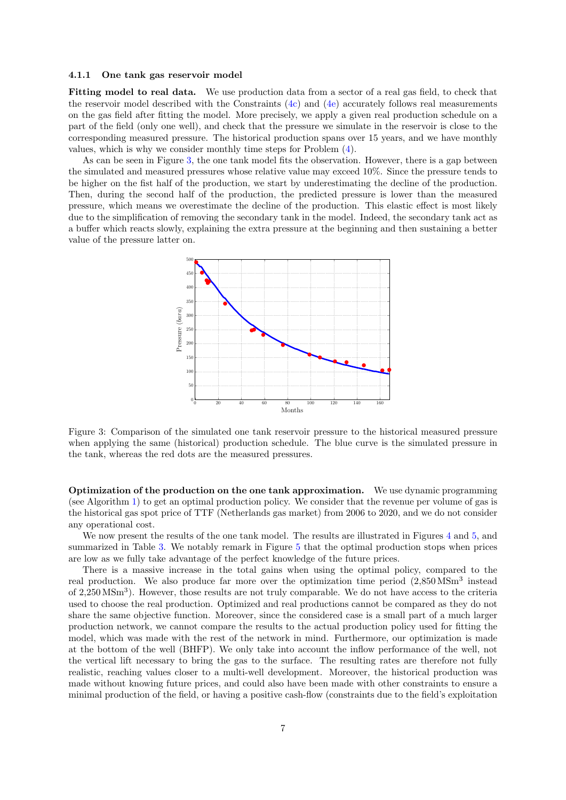#### <span id="page-6-1"></span>4.1.1 One tank gas reservoir model

Fitting model to real data. We use production data from a sector of a real gas field, to check that the reservoir model described with the Constraints [\(4c\)](#page-5-1) and [\(4e\)](#page-5-2) accurately follows real measurements on the gas field after fitting the model. More precisely, we apply a given real production schedule on a part of the field (only one well), and check that the pressure we simulate in the reservoir is close to the corresponding measured pressure. The historical production spans over 15 years, and we have monthly values, which is why we consider monthly time steps for Problem [\(4\)](#page-5-3).

As can be seen in Figure [3,](#page-6-0) the one tank model fits the observation. However, there is a gap between the simulated and measured pressures whose relative value may exceed 10%. Since the pressure tends to be higher on the fist half of the production, we start by underestimating the decline of the production. Then, during the second half of the production, the predicted pressure is lower than the measured pressure, which means we overestimate the decline of the production. This elastic effect is most likely due to the simplification of removing the secondary tank in the model. Indeed, the secondary tank act as a buffer which reacts slowly, explaining the extra pressure at the beginning and then sustaining a better value of the pressure latter on.



<span id="page-6-0"></span>Figure 3: Comparison of the simulated one tank reservoir pressure to the historical measured pressure when applying the same (historical) production schedule. The blue curve is the simulated pressure in the tank, whereas the red dots are the measured pressures.

Optimization of the production on the one tank approximation. We use dynamic programming (see Algorithm [1\)](#page-3-1) to get an optimal production policy. We consider that the revenue per volume of gas is the historical gas spot price of TTF (Netherlands gas market) from 2006 to 2020, and we do not consider any operational cost.

We now present the results of the one tank model. The results are illustrated in Figures [4](#page-7-0) and [5,](#page-7-1) and summarized in Table [3.](#page-8-0) We notably remark in Figure [5](#page-7-1) that the optimal production stops when prices are low as we fully take advantage of the perfect knowledge of the future prices.

There is a massive increase in the total gains when using the optimal policy, compared to the real production. We also produce far more over the optimization time period  $(2,850\,\text{MSm}^3)$  instead of 2,250 MSm<sup>3</sup> ). However, those results are not truly comparable. We do not have access to the criteria used to choose the real production. Optimized and real productions cannot be compared as they do not share the same objective function. Moreover, since the considered case is a small part of a much larger production network, we cannot compare the results to the actual production policy used for fitting the model, which was made with the rest of the network in mind. Furthermore, our optimization is made at the bottom of the well (BHFP). We only take into account the inflow performance of the well, not the vertical lift necessary to bring the gas to the surface. The resulting rates are therefore not fully realistic, reaching values closer to a multi-well development. Moreover, the historical production was made without knowing future prices, and could also have been made with other constraints to ensure a minimal production of the field, or having a positive cash-flow (constraints due to the field's exploitation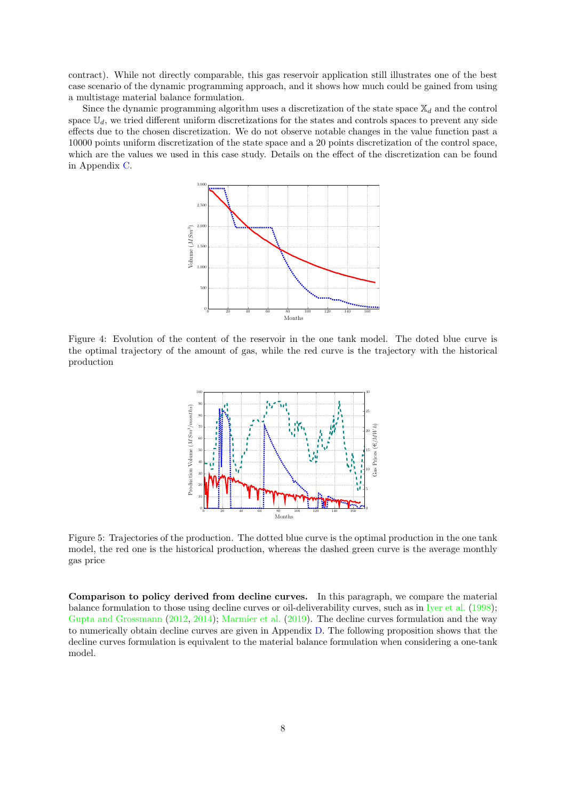contract). While not directly comparable, this gas reservoir application still illustrates one of the best case scenario of the dynamic programming approach, and it shows how much could be gained from using a multistage material balance formulation.

Since the dynamic programming algorithm uses a discretization of the state space  $\mathbb{X}_d$  and the control space  $\mathbb{U}_d$ , we tried different uniform discretizations for the states and controls spaces to prevent any side effects due to the chosen discretization. We do not observe notable changes in the value function past a 10000 points uniform discretization of the state space and a 20 points discretization of the control space, which are the values we used in this case study. Details on the effect of the discretization can be found in Appendix [C.](#page-20-0)



<span id="page-7-0"></span>Figure 4: Evolution of the content of the reservoir in the one tank model. The doted blue curve is the optimal trajectory of the amount of gas, while the red curve is the trajectory with the historical production



<span id="page-7-1"></span>Figure 5: Trajectories of the production. The dotted blue curve is the optimal production in the one tank model, the red one is the historical production, whereas the dashed green curve is the average monthly gas price

Comparison to policy derived from decline curves. In this paragraph, we compare the material balance formulation to those using decline curves or oil-deliverability curves, such as in [Iyer et al.](#page-24-4) [\(1998\)](#page-24-4); [Gupta and Grossmann](#page-24-5) [\(2012,](#page-24-5) [2014\)](#page-24-9); [Marmier et al.](#page-24-6) [\(2019\)](#page-24-6). The decline curves formulation and the way to numerically obtain decline curves are given in Appendix [D.](#page-22-0) The following proposition shows that the decline curves formulation is equivalent to the material balance formulation when considering a one-tank model.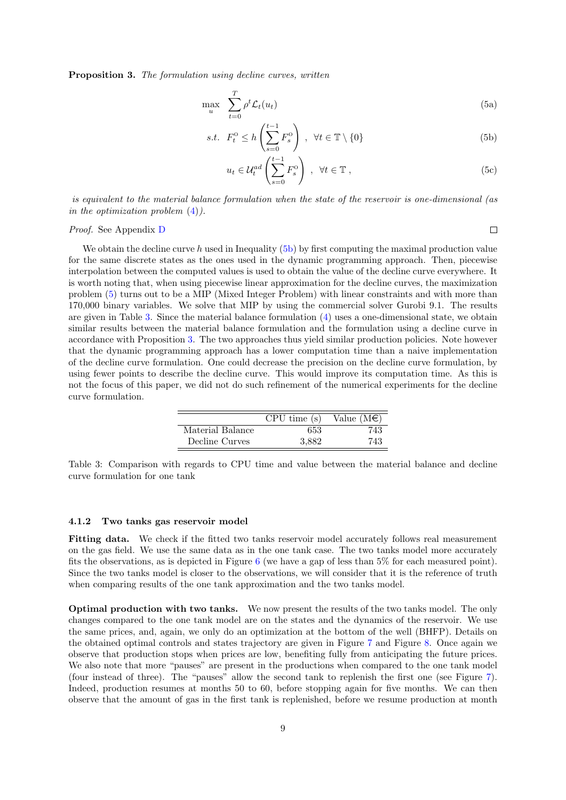Proposition 3. The formulation using decline curves, written

$$
\max_{u} \sum_{t=0}^{T} \rho^t \mathcal{L}_t(u_t) \tag{5a}
$$

$$
s.t. \quad F_t^0 \le h\left(\sum_{s=0}^{t-1} F_s^0\right) \,, \ \ \forall t \in \mathbb{T} \setminus \{0\} \tag{5b}
$$

$$
u_t \in \mathcal{U}_t^{ad} \left( \sum_{s=0}^{t-1} F_s^{\mathcal{O}} \right) , \ \forall t \in \mathbb{T} , \tag{5c}
$$

<span id="page-8-2"></span><span id="page-8-1"></span> $\Box$ 

is equivalent to the material balance formulation when the state of the reservoir is one-dimensional (as in the optimization problem  $(4)$ ).

#### Proof. See Appendix [D](#page-22-0)

We obtain the decline curve h used in Inequality [\(5b\)](#page-8-1) by first computing the maximal production value for the same discrete states as the ones used in the dynamic programming approach. Then, piecewise interpolation between the computed values is used to obtain the value of the decline curve everywhere. It is worth noting that, when using piecewise linear approximation for the decline curves, the maximization problem [\(5\)](#page-8-2) turns out to be a MIP (Mixed Integer Problem) with linear constraints and with more than 170,000 binary variables. We solve that MIP by using the commercial solver Gurobi 9.1. The results are given in Table [3.](#page-8-0) Since the material balance formulation [\(4\)](#page-5-3) uses a one-dimensional state, we obtain similar results between the material balance formulation and the formulation using a decline curve in accordance with Proposition [3.](#page-8-2) The two approaches thus yield similar production policies. Note however that the dynamic programming approach has a lower computation time than a naive implementation of the decline curve formulation. One could decrease the precision on the decline curve formulation, by using fewer points to describe the decline curve. This would improve its computation time. As this is not the focus of this paper, we did not do such refinement of the numerical experiments for the decline curve formulation.

|                  | CPU time(s) | Value $(M\epsilon)$ |
|------------------|-------------|---------------------|
| Material Balance | 653         | 743                 |
| Decline Curves   | 3.882       | 743                 |

<span id="page-8-0"></span>Table 3: Comparison with regards to CPU time and value between the material balance and decline curve formulation for one tank

#### <span id="page-8-3"></span>4.1.2 Two tanks gas reservoir model

Fitting data. We check if the fitted two tanks reservoir model accurately follows real measurement on the gas field. We use the same data as in the one tank case. The two tanks model more accurately fits the observations, as is depicted in Figure [6](#page-9-0) (we have a gap of less than 5% for each measured point). Since the two tanks model is closer to the observations, we will consider that it is the reference of truth when comparing results of the one tank approximation and the two tanks model.

Optimal production with two tanks. We now present the results of the two tanks model. The only changes compared to the one tank model are on the states and the dynamics of the reservoir. We use the same prices, and, again, we only do an optimization at the bottom of the well (BHFP). Details on the obtained optimal controls and states trajectory are given in Figure [7](#page-9-1) and Figure [8.](#page-10-0) Once again we observe that production stops when prices are low, benefiting fully from anticipating the future prices. We also note that more "pauses" are present in the productions when compared to the one tank model (four instead of three). The "pauses" allow the second tank to replenish the first one (see Figure [7\)](#page-9-1). Indeed, production resumes at months 50 to 60, before stopping again for five months. We can then observe that the amount of gas in the first tank is replenished, before we resume production at month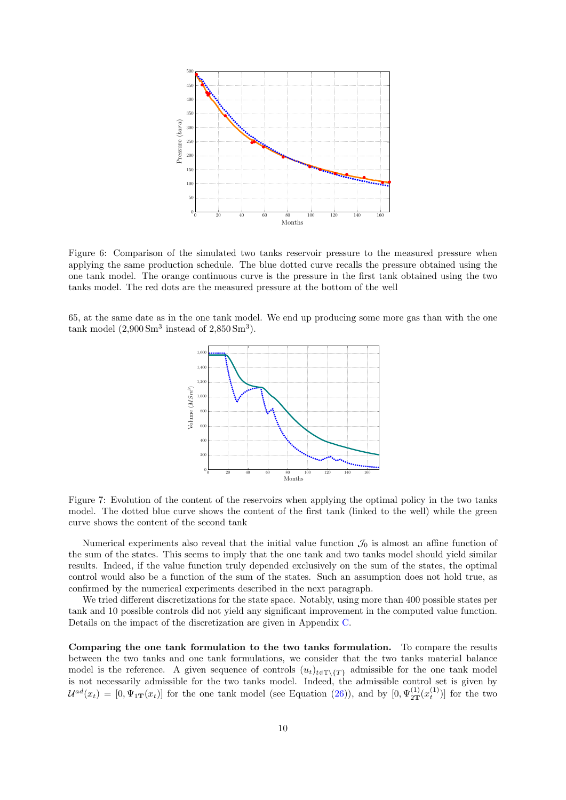

<span id="page-9-0"></span>Figure 6: Comparison of the simulated two tanks reservoir pressure to the measured pressure when applying the same production schedule. The blue dotted curve recalls the pressure obtained using the one tank model. The orange continuous curve is the pressure in the first tank obtained using the two tanks model. The red dots are the measured pressure at the bottom of the well

65, at the same date as in the one tank model. We end up producing some more gas than with the one tank model  $(2,900 \text{ Sm}^3 \text{ instead of } 2,850 \text{ Sm}^3)$ .



<span id="page-9-1"></span>Figure 7: Evolution of the content of the reservoirs when applying the optimal policy in the two tanks model. The dotted blue curve shows the content of the first tank (linked to the well) while the green curve shows the content of the second tank

Numerical experiments also reveal that the initial value function  $\mathcal{J}_0$  is almost an affine function of the sum of the states. This seems to imply that the one tank and two tanks model should yield similar results. Indeed, if the value function truly depended exclusively on the sum of the states, the optimal control would also be a function of the sum of the states. Such an assumption does not hold true, as confirmed by the numerical experiments described in the next paragraph.

We tried different discretizations for the state space. Notably, using more than 400 possible states per tank and 10 possible controls did not yield any significant improvement in the computed value function. Details on the impact of the discretization are given in Appendix [C.](#page-20-0)

Comparing the one tank formulation to the two tanks formulation. To compare the results between the two tanks and one tank formulations, we consider that the two tanks material balance model is the reference. A given sequence of controls  $(u_t)_{t\in\mathbb{T}\setminus\{T\}}$  admissible for the one tank model is not necessarily admissible for the two tanks model. Indeed, the admissible control set is given by  $\mathcal{U}^{ad}(x_t) = [0, \Psi_{1\mathbf{T}}(x_t)]$  for the one tank model (see Equation [\(26\)](#page-19-0)), and by  $[0, \Psi_{2\mathbf{T}}^{(1)}(x_t^{(1)})]$  for the two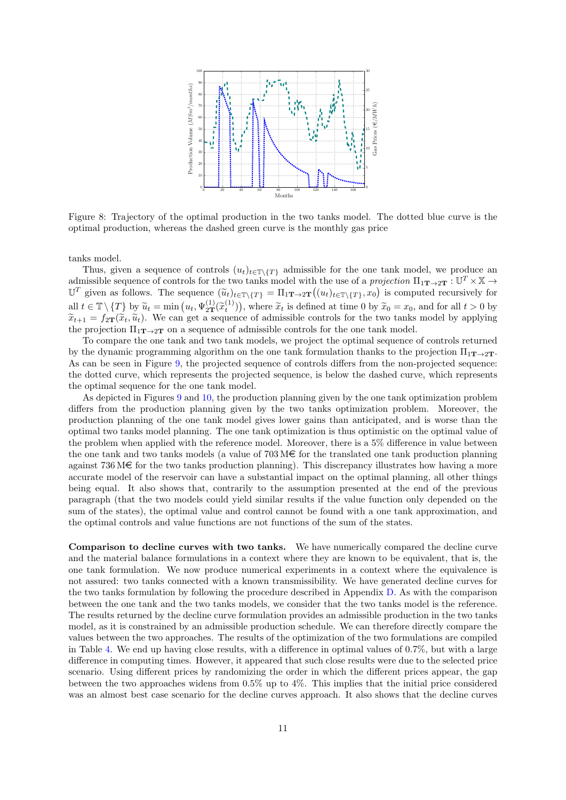

<span id="page-10-0"></span>Figure 8: Trajectory of the optimal production in the two tanks model. The dotted blue curve is the optimal production, whereas the dashed green curve is the monthly gas price

tanks model.

Thus, given a sequence of controls  $(u_t)_{t\in\mathbb{T}\setminus\{T\}}$  admissible for the one tank model, we produce an admissible sequence of controls for the two tanks model with the use of a projection  $\Pi_1_{\mathbf{T}\to 2\mathbf{T}}:\mathbb{U}^T\times \mathbb{X}\to$  $\mathbb{U}^T$  given as follows. The sequence  $(\widetilde{u}_t)_{t \in \mathbb{T} \setminus \{T\}} = \Pi_1 \mathbf{T} \to 2\mathbf{T} ((u_t)_{t \in \mathbb{T} \setminus \{T\}}, x_0)$  is computed recursively for all  $t \in \mathbb{T} \setminus \{T\}$  by  $\widetilde{u}_t = \min(u_t, \Psi_{2T}^{(1)}(\widetilde{x}_t^{(1)})),$  where  $\widetilde{x}_t$  is defined at time 0 by  $\widetilde{x}_0 = x_0$ , and for all  $t > 0$  by  $\widetilde{x}_{t+1} = f_{t-1}(\widetilde{x}_t, \widetilde{u}_t)$ . We can get a sequence of admissible contr  $\tilde{x}_{t+1} = f_{2T}(\tilde{x}_t, \tilde{u}_t)$ . We can get a sequence of admissible controls for the two tanks model by applying the projection  $\Pi_{1\mathbf{T}\to 2\mathbf{T}}$  on a sequence of admissible controls for the one tank model.

To compare the one tank and two tank models, we project the optimal sequence of controls returned by the dynamic programming algorithm on the one tank formulation thanks to the projection  $\Pi_{1T\rightarrow 2T}$ . As can be seen in Figure [9,](#page-11-0) the projected sequence of controls differs from the non-projected sequence: the dotted curve, which represents the projected sequence, is below the dashed curve, which represents the optimal sequence for the one tank model.

As depicted in Figures [9](#page-11-0) and [10,](#page-11-1) the production planning given by the one tank optimization problem differs from the production planning given by the two tanks optimization problem. Moreover, the production planning of the one tank model gives lower gains than anticipated, and is worse than the optimal two tanks model planning. The one tank optimization is thus optimistic on the optimal value of the problem when applied with the reference model. Moreover, there is a 5% difference in value between the one tank and two tanks models (a value of  $703 \text{ M} \in \text{for the translated one tank production planning}$ ) against  $736 \text{M} \in \text{for the two tanks production planning}$ . This discrepancy illustrates how having a more accurate model of the reservoir can have a substantial impact on the optimal planning, all other things being equal. It also shows that, contrarily to the assumption presented at the end of the previous paragraph (that the two models could yield similar results if the value function only depended on the sum of the states), the optimal value and control cannot be found with a one tank approximation, and the optimal controls and value functions are not functions of the sum of the states.

Comparison to decline curves with two tanks. We have numerically compared the decline curve and the material balance formulations in a context where they are known to be equivalent, that is, the one tank formulation. We now produce numerical experiments in a context where the equivalence is not assured: two tanks connected with a known transmissibility. We have generated decline curves for the two tanks formulation by following the procedure described in Appendix [D.](#page-22-0) As with the comparison between the one tank and the two tanks models, we consider that the two tanks model is the reference. The results returned by the decline curve formulation provides an admissible production in the two tanks model, as it is constrained by an admissible production schedule. We can therefore directly compare the values between the two approaches. The results of the optimization of the two formulations are compiled in Table [4.](#page-11-2) We end up having close results, with a difference in optimal values of 0.7%, but with a large difference in computing times. However, it appeared that such close results were due to the selected price scenario. Using different prices by randomizing the order in which the different prices appear, the gap between the two approaches widens from 0.5% up to 4%. This implies that the initial price considered was an almost best case scenario for the decline curves approach. It also shows that the decline curves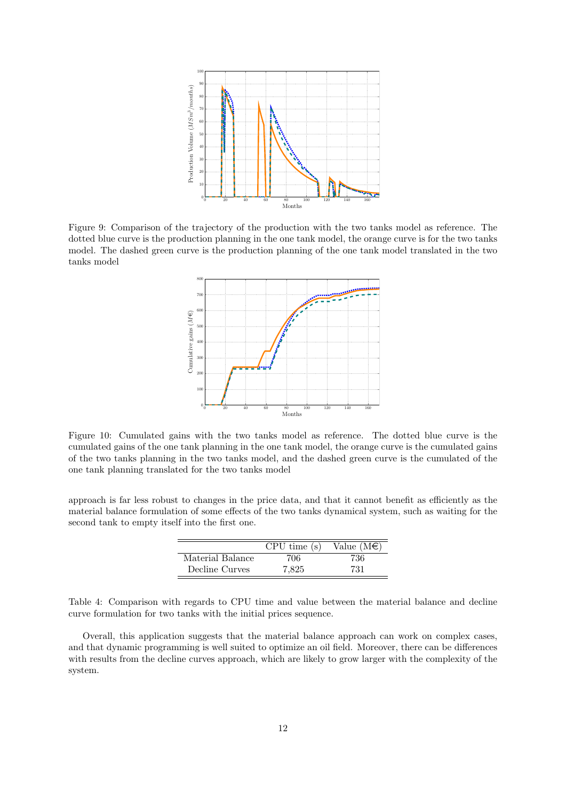

<span id="page-11-0"></span>Figure 9: Comparison of the trajectory of the production with the two tanks model as reference. The dotted blue curve is the production planning in the one tank model, the orange curve is for the two tanks model. The dashed green curve is the production planning of the one tank model translated in the two tanks model



<span id="page-11-1"></span>Figure 10: Cumulated gains with the two tanks model as reference. The dotted blue curve is the cumulated gains of the one tank planning in the one tank model, the orange curve is the cumulated gains of the two tanks planning in the two tanks model, and the dashed green curve is the cumulated of the one tank planning translated for the two tanks model

approach is far less robust to changes in the price data, and that it cannot benefit as efficiently as the material balance formulation of some effects of the two tanks dynamical system, such as waiting for the second tank to empty itself into the first one.

|                  | CPU time(s) | Value $(M\epsilon)$ |
|------------------|-------------|---------------------|
| Material Balance | 706         | 736                 |
| Decline Curves   | 7.825       | 731                 |

<span id="page-11-2"></span>Table 4: Comparison with regards to CPU time and value between the material balance and decline curve formulation for two tanks with the initial prices sequence.

Overall, this application suggests that the material balance approach can work on complex cases, and that dynamic programming is well suited to optimize an oil field. Moreover, there can be differences with results from the decline curves approach, which are likely to grow larger with the complexity of the system.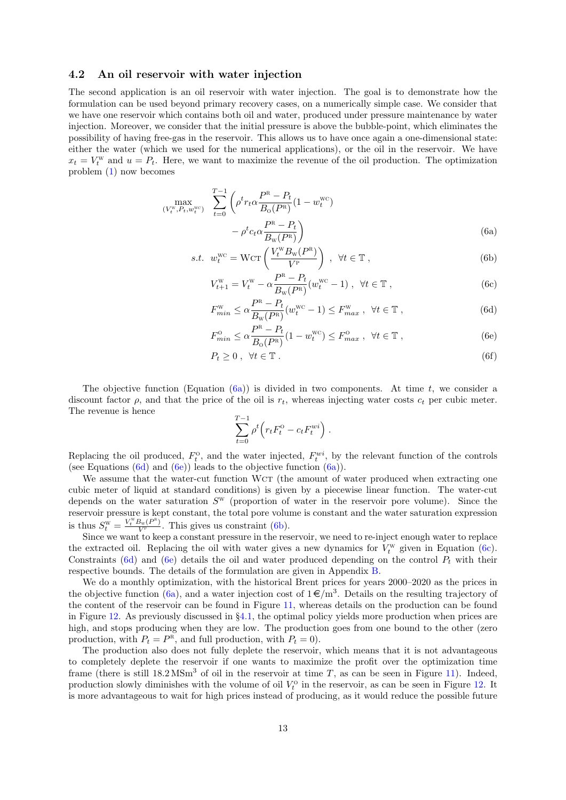### <span id="page-12-0"></span>4.2 An oil reservoir with water injection

The second application is an oil reservoir with water injection. The goal is to demonstrate how the formulation can be used beyond primary recovery cases, on a numerically simple case. We consider that we have one reservoir which contains both oil and water, produced under pressure maintenance by water injection. Moreover, we consider that the initial pressure is above the bubble-point, which eliminates the possibility of having free-gas in the reservoir. This allows us to have once again a one-dimensional state: either the water (which we used for the numerical applications), or the oil in the reservoir. We have  $x_t = V_t^{\text{w}}$  and  $u = P_t$ . Here, we want to maximize the revenue of the oil production. The optimization problem [\(1\)](#page-2-1) now becomes

$$
\max_{(V_t^{\text{w}}, P_t, w_t^{\text{wc}})} \quad \sum_{t=0}^{T-1} \left( \rho^t r_t \alpha \frac{P^{\text{R}} - P_t}{B_0(P^{\text{R}})} (1 - w_t^{\text{wc}}) - \rho^t c_t \alpha \frac{P^{\text{R}} - P_t}{B_{\text{w}}(P^{\text{R}})} \right)
$$
\n(6a)

s.t. 
$$
w_t^{\text{wc}} = \text{Wcr} \left( \frac{V_t^{\text{w}} B_{\text{w}}(P^{\text{R}})}{V^{\text{P}}} \right), \ \forall t \in \mathbb{T},
$$
 (6b)

<span id="page-12-5"></span><span id="page-12-4"></span><span id="page-12-1"></span>
$$
V_{t+1}^{\mathbf{W}} = V_t^{\mathbf{W}} - \alpha \frac{P^{\mathbf{R}} - P_t}{B_{\mathbf{W}}(P^{\mathbf{R}})} (w_t^{\mathbf{W}^{\mathbf{C}}} - 1) , \ \ \forall t \in \mathbb{T} ,
$$
 (6c)

<span id="page-12-2"></span>
$$
F_{min}^{\mathbf{W}} \le \alpha \frac{P^{\mathbf{R}} - P_t}{B_{\mathbf{W}}(P^{\mathbf{R}})} (w_t^{\mathbf{W}^{\mathbf{C}}} - 1) \le F_{max}^{\mathbf{W}}, \quad \forall t \in \mathbb{T},
$$
\n(6d)

$$
F_{min}^{\text{o}} \le \alpha \frac{P^{\text{R}} - P_t}{B_0(P^{\text{R}})} (1 - w_t^{\text{WC}}) \le F_{max}^{\text{o}}, \quad \forall t \in \mathbb{T}, \tag{6e}
$$

$$
P_t \ge 0 \,, \forall t \in \mathbb{T} \,. \tag{6f}
$$

The objective function (Equation  $(6a)$ ) is divided in two components. At time t, we consider a discount factor  $\rho$ , and that the price of the oil is  $r_t$ , whereas injecting water costs  $c_t$  per cubic meter. The revenue is hence

<span id="page-12-3"></span>
$$
\sum_{t=0}^{T-1} \rho^t \Big( r_t F_t^{\text{o}} - c_t F_t^{wi} \Big) .
$$

Replacing the oil produced,  $F_t^0$ , and the water injected,  $F_t^{wi}$ , by the relevant function of the controls (see Equations  $(6d)$  and  $(6e)$ ) leads to the objective function  $(6a)$ ).

We assume that the water-cut function WcT (the amount of water produced when extracting one cubic meter of liquid at standard conditions) is given by a piecewise linear function. The water-cut depends on the water saturation  $S^{\text{w}}$  (proportion of water in the reservoir pore volume). Since the reservoir pressure is kept constant, the total pore volume is constant and the water saturation expression is thus  $S_t^{\text{w}} = \frac{V_t^{\text{w}} B_{\text{w}}(P^{\text{R}})}{V^{\text{P}}}$ . This gives us constraint [\(6b\)](#page-12-4).

Since we want to keep a constant pressure in the reservoir, we need to re-inject enough water to replace the extracted oil. Replacing the oil with water gives a new dynamics for  $V_t^w$  given in Equation [\(6c\)](#page-12-5). Constraints [\(6d\)](#page-12-2) and [\(6e\)](#page-12-3) details the oil and water produced depending on the control  $P_t$  with their respective bounds. The details of the formulation are given in Appendix [B.](#page-18-0)

We do a monthly optimization, with the historical Brent prices for years  $2000-2020$  as the prices in the objective function [\(6a\)](#page-12-1), and a water injection cost of  $1 \in / m<sup>3</sup>$ . Details on the resulting trajectory of the content of the reservoir can be found in Figure [11,](#page-13-0) whereas details on the production can be found in Figure [12.](#page-13-1) As previously discussed in §[4.1,](#page-4-2) the optimal policy yields more production when prices are high, and stops producing when they are low. The production goes from one bound to the other (zero production, with  $P_t = P^R$ , and full production, with  $P_t = 0$ ).

The production also does not fully deplete the reservoir, which means that it is not advantageous to completely deplete the reservoir if one wants to maximize the profit over the optimization time frame (there is still  $18.2 \text{ MSm}^3$  of oil in the reservoir at time T, as can be seen in Figure [11\)](#page-13-0). Indeed, production slowly diminishes with the volume of oil  $V_t^{\text{o}}$  in the reservoir, as can be seen in Figure [12.](#page-13-1) It is more advantageous to wait for high prices instead of producing, as it would reduce the possible future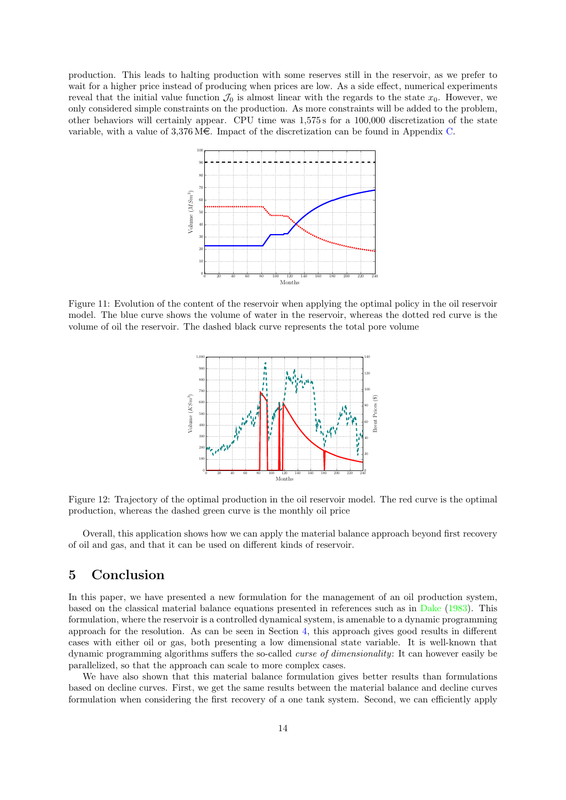production. This leads to halting production with some reserves still in the reservoir, as we prefer to wait for a higher price instead of producing when prices are low. As a side effect, numerical experiments reveal that the initial value function  $\mathcal{J}_0$  is almost linear with the regards to the state  $x_0$ . However, we only considered simple constraints on the production. As more constraints will be added to the problem, other behaviors will certainly appear. CPU time was 1,575 s for a 100,000 discretization of the state variable, with a value of  $3,376 \text{ M} \in \mathbb{C}$ . Impact of the discretization can be found in Appendix [C.](#page-20-0)



<span id="page-13-0"></span>Figure 11: Evolution of the content of the reservoir when applying the optimal policy in the oil reservoir model. The blue curve shows the volume of water in the reservoir, whereas the dotted red curve is the volume of oil the reservoir. The dashed black curve represents the total pore volume



<span id="page-13-1"></span>Figure 12: Trajectory of the optimal production in the oil reservoir model. The red curve is the optimal production, whereas the dashed green curve is the monthly oil price

Overall, this application shows how we can apply the material balance approach beyond first recovery of oil and gas, and that it can be used on different kinds of reservoir.

### 5 Conclusion

In this paper, we have presented a new formulation for the management of an oil production system, based on the classical material balance equations presented in references such as in [Dake](#page-23-1) [\(1983\)](#page-23-1). This formulation, where the reservoir is a controlled dynamical system, is amenable to a dynamic programming approach for the resolution. As can be seen in Section [4,](#page-4-1) this approach gives good results in different cases with either oil or gas, both presenting a low dimensional state variable. It is well-known that dynamic programming algorithms suffers the so-called curse of dimensionality: It can however easily be parallelized, so that the approach can scale to more complex cases.

We have also shown that this material balance formulation gives better results than formulations based on decline curves. First, we get the same results between the material balance and decline curves formulation when considering the first recovery of a one tank system. Second, we can efficiently apply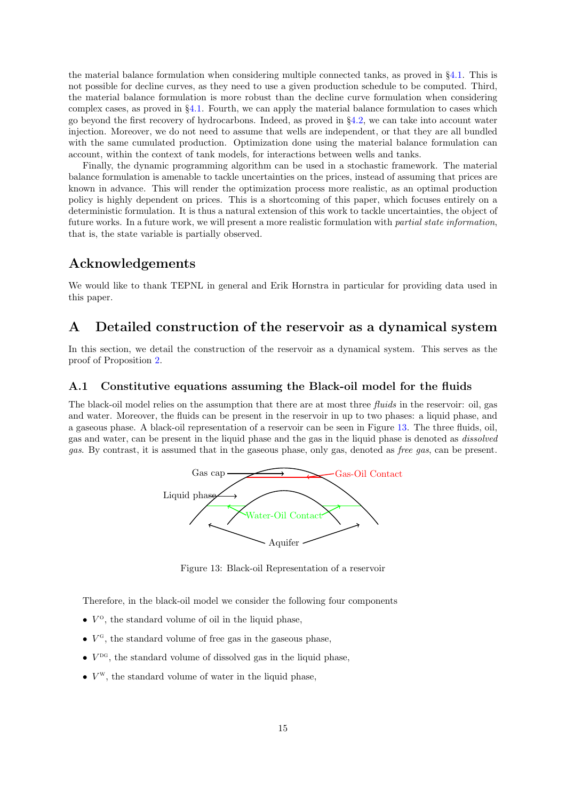the material balance formulation when considering multiple connected tanks, as proved in §[4.1.](#page-4-2) This is not possible for decline curves, as they need to use a given production schedule to be computed. Third, the material balance formulation is more robust than the decline curve formulation when considering complex cases, as proved in §[4.1.](#page-4-2) Fourth, we can apply the material balance formulation to cases which go beyond the first recovery of hydrocarbons. Indeed, as proved in §[4.2,](#page-12-0) we can take into account water injection. Moreover, we do not need to assume that wells are independent, or that they are all bundled with the same cumulated production. Optimization done using the material balance formulation can account, within the context of tank models, for interactions between wells and tanks.

Finally, the dynamic programming algorithm can be used in a stochastic framework. The material balance formulation is amenable to tackle uncertainties on the prices, instead of assuming that prices are known in advance. This will render the optimization process more realistic, as an optimal production policy is highly dependent on prices. This is a shortcoming of this paper, which focuses entirely on a deterministic formulation. It is thus a natural extension of this work to tackle uncertainties, the object of future works. In a future work, we will present a more realistic formulation with partial state information, that is, the state variable is partially observed.

### Acknowledgements

We would like to thank TEPNL in general and Erik Hornstra in particular for providing data used in this paper.

### <span id="page-14-0"></span>A Detailed construction of the reservoir as a dynamical system

In this section, we detail the construction of the reservoir as a dynamical system. This serves as the proof of Proposition [2.](#page-4-3)

### <span id="page-14-2"></span>A.1 Constitutive equations assuming the Black-oil model for the fluids

The black-oil model relies on the assumption that there are at most three fluids in the reservoir: oil, gas and water. Moreover, the fluids can be present in the reservoir in up to two phases: a liquid phase, and a gaseous phase. A black-oil representation of a reservoir can be seen in Figure [13.](#page-14-1) The three fluids, oil, gas and water, can be present in the liquid phase and the gas in the liquid phase is denoted as dissolved gas. By contrast, it is assumed that in the gaseous phase, only gas, denoted as free gas, can be present.



<span id="page-14-1"></span>Figure 13: Black-oil Representation of a reservoir

Therefore, in the black-oil model we consider the following four components

- $\bullet$   $V^{\circ}$ , the standard volume of oil in the liquid phase,
- $\bullet$   $V<sup>G</sup>$ , the standard volume of free gas in the gaseous phase,
- $\bullet$   $V^{\text{DG}}$ , the standard volume of dissolved gas in the liquid phase,
- $\bullet$   $V^{\text{w}}$ , the standard volume of water in the liquid phase,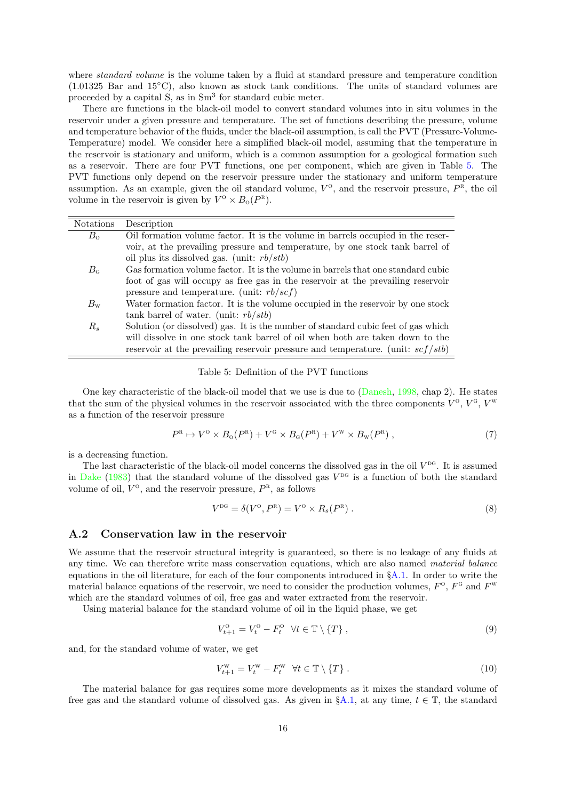where *standard volume* is the volume taken by a fluid at standard pressure and temperature condition (1.01325 Bar and 15◦C), also known as stock tank conditions. The units of standard volumes are proceeded by a capital  $S$ , as in  $Sm<sup>3</sup>$  for standard cubic meter.

There are functions in the black-oil model to convert standard volumes into in situ volumes in the reservoir under a given pressure and temperature. The set of functions describing the pressure, volume and temperature behavior of the fluids, under the black-oil assumption, is call the PVT (Pressure-Volume-Temperature) model. We consider here a simplified black-oil model, assuming that the temperature in the reservoir is stationary and uniform, which is a common assumption for a geological formation such as a reservoir. There are four PVT functions, one per component, which are given in Table [5.](#page-15-0) The PVT functions only depend on the reservoir pressure under the stationary and uniform temperature assumption. As an example, given the oil standard volume,  $V^{\circ}$ , and the reservoir pressure,  $P^{\rm R}$ , the oil volume in the reservoir is given by  $V^{\circ} \times B_{\rm o}(P^{\rm R})$ .

| <b>Notations</b> | Description                                                                                |
|------------------|--------------------------------------------------------------------------------------------|
| $B_{\rm o}$      | Oil formation volume factor. It is the volume in barrels occupied in the reser-            |
|                  | voir, at the prevailing pressure and temperature, by one stock tank barrel of              |
|                  | oil plus its dissolved gas. (unit: $rb/stb$ )                                              |
| $B_{\rm G}$      | Gas formation volume factor. It is the volume in barrels that one standard cubic           |
|                  | foot of gas will occupy as free gas in the reservoir at the prevailing reservoir           |
|                  | pressure and temperature. (unit: $rb/scf$ )                                                |
| $B_{\rm w}$      | Water formation factor. It is the volume occupied in the reservoir by one stock            |
|                  | tank barrel of water. (unit: $rb/stb$ )                                                    |
| $R_s$            | Solution (or dissolved) gas. It is the number of standard cubic feet of gas which          |
|                  | will dissolve in one stock tank barrel of oil when both are taken down to the              |
|                  | reservoir at the prevailing reservoir pressure and temperature. (unit: $\frac{scf}{stb}$ ) |

#### <span id="page-15-0"></span>Table 5: Definition of the PVT functions

One key characteristic of the black-oil model that we use is due to [\(Danesh,](#page-23-3) [1998,](#page-23-3) chap 2). He states that the sum of the physical volumes in the reservoir associated with the three components  $V^{\text{o}}$ ,  $V^{\text{g}}$ ,  $V^{\text{w}}$ as a function of the reservoir pressure

$$
P^{\rm R} \mapsto V^{\rm O} \times B_{\rm O}(P^{\rm R}) + V^{\rm G} \times B_{\rm G}(P^{\rm R}) + V^{\rm W} \times B_{\rm W}(P^{\rm R})\,,\tag{7}
$$

is a decreasing function.

The last characteristic of the black-oil model concerns the dissolved gas in the oil  $V^{\text{DG}}$ . It is assumed in [Dake](#page-23-1) [\(1983\)](#page-23-1) that the standard volume of the dissolved gas  $V^{DG}$  is a function of both the standard volume of oil,  $V^{\text{o}}$ , and the reservoir pressure,  $P^{\text{R}}$ , as follows

<span id="page-15-1"></span>
$$
V^{\rm DG} = \delta(V^{\rm O}, P^{\rm R}) = V^{\rm O} \times R_s(P^{\rm R}). \tag{8}
$$

### A.2 Conservation law in the reservoir

We assume that the reservoir structural integrity is guaranteed, so there is no leakage of any fluids at any time. We can therefore write mass conservation equations, which are also named *material balance* equations in the oil literature, for each of the four components introduced in §[A.1.](#page-14-2) In order to write the material balance equations of the reservoir, we need to consider the production volumes,  $F^{\circ}$ ,  $F^{\circ}$  and  $F^{\rm w}$ which are the standard volumes of oil, free gas and water extracted from the reservoir.

Using material balance for the standard volume of oil in the liquid phase, we get

<span id="page-15-2"></span>
$$
V_{t+1}^{\text{o}} = V_t^{\text{o}} - F_t^{\text{o}} \quad \forall t \in \mathbb{T} \setminus \{T\},\tag{9}
$$

and, for the standard volume of water, we get

<span id="page-15-3"></span>
$$
V_{t+1}^{\mathbf{W}} = V_t^{\mathbf{W}} - F_t^{\mathbf{W}} \quad \forall t \in \mathbb{T} \setminus \{T\} \tag{10}
$$

The material balance for gas requires some more developments as it mixes the standard volume of free gas and the standard volume of dissolved gas. As given in  $\S$ [A.1,](#page-14-2) at any time,  $t \in \mathbb{T}$ , the standard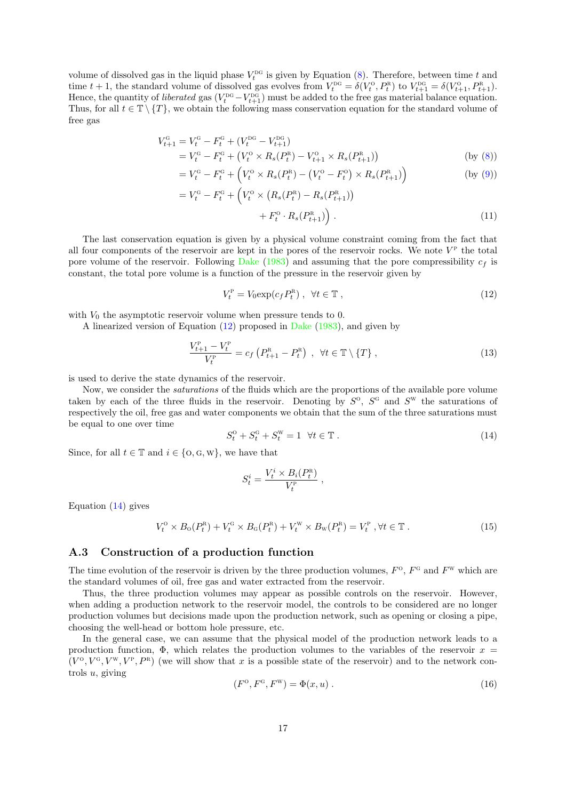volume of dissolved gas in the liquid phase  $V_t^{\text{DG}}$  is given by Equation [\(8\)](#page-15-1). Therefore, between time t and time  $t + 1$ , the standard volume of dissolved gas evolves from  $V_t^{DG} = \delta(V_t^O, P_t^R)$  to  $V_{t+1}^{DG} = \delta(V_{t+1}^O, P_{t+1}^R)$ . Hence, the quantity of *liberated* gas  $(V_t^{DG} - V_{t+1}^{DG})$  must be added to the free gas material balance equation. Thus, for all  $t \in \mathbb{T} \setminus \{T\}$ , we obtain the following mass conservation equation for the standard volume of free gas

$$
V_{t+1}^{\text{G}} = V_t^{\text{G}} - F_t^{\text{G}} + (V_t^{\text{DG}} - V_{t+1}^{\text{DG}})
$$
  
= 
$$
V_t^{\text{G}} - F_t^{\text{G}} + (V_t^{\text{O}} \times R_s(P_t^{\text{R}}) - V_{t+1}^{\text{O}} \times R_s(P_{t+1}^{\text{R}}))
$$
 (by (8))

$$
= V_t^{\rm G} - F_t^{\rm G} + \left( V_t^{\rm O} \times R_s(P_t^{\rm R}) - \left( V_t^{\rm O} - F_t^{\rm O} \right) \times R_s(P_{t+1}^{\rm R}) \right) \tag{by (9)}
$$

$$
= V_t^{\text{G}} - F_t^{\text{G}} + \left( V_t^{\text{O}} \times \left( R_s(P_t^{\text{R}}) - R_s(P_{t+1}^{\text{R}}) \right) + F_t^{\text{O}} \cdot R_s(P_{t+1}^{\text{R}}) \right). \tag{11}
$$

The last conservation equation is given by a physical volume constraint coming from the fact that all four components of the reservoir are kept in the pores of the reservoir rocks. We note  $V^{\text{P}}$  the total pore volume of the reservoir. Following [Dake](#page-23-1) [\(1983\)](#page-23-1) and assuming that the pore compressibility  $c_f$  is constant, the total pore volume is a function of the pressure in the reservoir given by

<span id="page-16-3"></span><span id="page-16-0"></span>
$$
V_t^{\rm P} = V_0 \exp(c_f P_t^{\rm R}), \quad \forall t \in \mathbb{T}, \tag{12}
$$

with  $V_0$  the asymptotic reservoir volume when pressure tends to 0.

A linearized version of Equation [\(12\)](#page-16-0) proposed in [Dake](#page-23-1) [\(1983\)](#page-23-1), and given by

<span id="page-16-4"></span>
$$
\frac{V_{t+1}^{\rm P} - V_t^{\rm P}}{V_t^{\rm P}} = c_f \left( P_{t+1}^{\rm R} - P_t^{\rm R} \right) , \quad \forall t \in \mathbb{T} \setminus \{T\} , \tag{13}
$$

is used to derive the state dynamics of the reservoir.

 $\overline{a}$ 

Now, we consider the *saturations* of the fluids which are the proportions of the available pore volume taken by each of the three fluids in the reservoir. Denoting by  $S^{\circ}$ ,  $S^{\circ}$  and  $S^{\rm w}$  the saturations of respectively the oil, free gas and water components we obtain that the sum of the three saturations must be equal to one over time

<span id="page-16-1"></span>
$$
S_t^{\scriptscriptstyle\text{O}} + S_t^{\scriptscriptstyle\text{G}} + S_t^{\scriptscriptstyle\text{W}} = 1 \quad \forall t \in \mathbb{T} \tag{14}
$$

Since, for all  $t \in \mathbb{T}$  and  $i \in \{0, \text{G}, \text{W}\}\)$ , we have that

$$
S^i_t = \frac{V^i_t \times B_i(P^{\text{R}}_t)}{V^{\text{P}}_t} \; ,
$$

Equation  $(14)$  gives

<span id="page-16-5"></span>
$$
V_t^{\text{o}} \times B_{\text{o}}(P_t^{\text{R}}) + V_t^{\text{G}} \times B_{\text{o}}(P_t^{\text{R}}) + V_t^{\text{W}} \times B_{\text{W}}(P_t^{\text{R}}) = V_t^{\text{P}}, \forall t \in \mathbb{T}.
$$
 (15)

### A.3 Construction of a production function

The time evolution of the reservoir is driven by the three production volumes,  $F^{\rm o}$ ,  $F^{\rm g}$  and  $F^{\rm w}$  which are the standard volumes of oil, free gas and water extracted from the reservoir.

Thus, the three production volumes may appear as possible controls on the reservoir. However, when adding a production network to the reservoir model, the controls to be considered are no longer production volumes but decisions made upon the production network, such as opening or closing a pipe, choosing the well-head or bottom hole pressure, etc.

In the general case, we can assume that the physical model of the production network leads to a production function,  $\Phi$ , which relates the production volumes to the variables of the reservoir  $x =$  $(V^{\circ}, V^{\circ}, V^{\rm w}, V^{\rm p}, P^{\rm R})$  (we will show that x is a possible state of the reservoir) and to the network controls u, giving

<span id="page-16-2"></span>
$$
(F^{\circ}, F^{\circ}, F^{\rm w}) = \Phi(x, u) \tag{16}
$$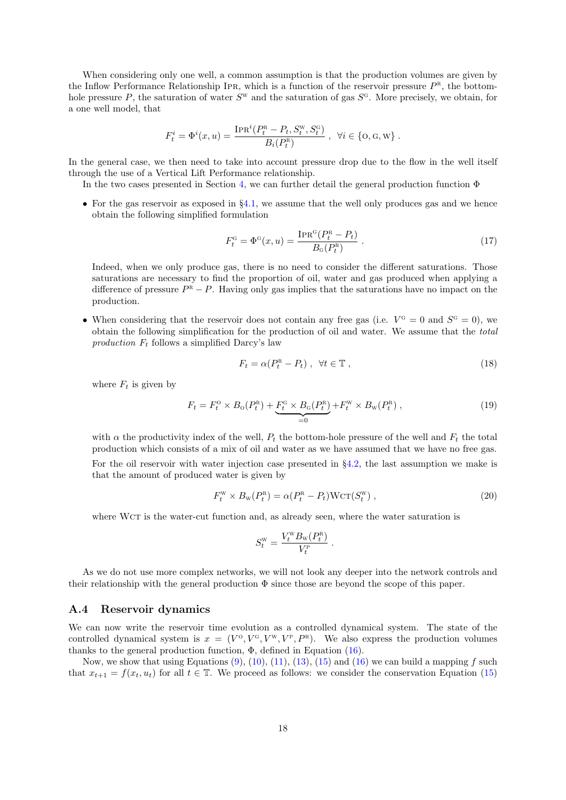When considering only one well, a common assumption is that the production volumes are given by the Inflow Performance Relationship IPR, which is a function of the reservoir pressure  $P^{\text{R}}$ , the bottomhole pressure P, the saturation of water  $S^w$  and the saturation of gas  $S^c$ . More precisely, we obtain, for a one well model, that

$$
F_t^i = \Phi^i(x, u) = \frac{\text{IPR}^i(P_t^{\text{R}} - P_t, S_t^{\text{W}}, S_t^{\text{G}})}{B_i(P_t^{\text{R}})}, \ \ \forall i \in \{\text{O}, \text{G}, \text{W}\}.
$$

In the general case, we then need to take into account pressure drop due to the flow in the well itself through the use of a Vertical Lift Performance relationship.

In the two cases presented in Section [4,](#page-4-1) we can further detail the general production function  $\Phi$ 

• For the gas reservoir as exposed in  $\S4.1$ , we assume that the well only produces gas and we hence obtain the following simplified formulation

<span id="page-17-0"></span>
$$
F_t^{\rm G} = \Phi^{\rm G}(x, u) = \frac{\text{IPR}^{\rm G}(P_t^{\rm R} - P_t)}{B_{\rm G}(P_t^{\rm R})} \,. \tag{17}
$$

Indeed, when we only produce gas, there is no need to consider the different saturations. Those saturations are necessary to find the proportion of oil, water and gas produced when applying a difference of pressure  $P^{\overline{R}} - P$ . Having only gas implies that the saturations have no impact on the production.

• When considering that the reservoir does not contain any free gas (i.e.  $V^G = 0$  and  $S^G = 0$ ), we obtain the following simplification for the production of oil and water. We assume that the total production  $F_t$  follows a simplified Darcy's law

<span id="page-17-2"></span>
$$
F_t = \alpha (P_t^{\text{R}} - P_t) , \quad \forall t \in \mathbb{T} , \tag{18}
$$

where  $F_t$  is given by

$$
F_t = F_t^{\rm o} \times B_{\rm o}(P_t^{\rm R}) + \underbrace{F_t^{\rm G} \times B_{\rm o}(P_t^{\rm R})}_{=0} + F_t^{\rm W} \times B_{\rm w}(P_t^{\rm R}) \,, \tag{19}
$$

with  $\alpha$  the productivity index of the well,  $P_t$  the bottom-hole pressure of the well and  $F_t$  the total production which consists of a mix of oil and water as we have assumed that we have no free gas. For the oil reservoir with water injection case presented in §[4.2,](#page-12-0) the last assumption we make is that the amount of produced water is given by

<span id="page-17-1"></span>
$$
F_t^{\mathbf{W}} \times B_{\mathbf{W}}(P_t^{\mathbf{R}}) = \alpha (P_t^{\mathbf{R}} - P_t) \mathbf{W} \mathbf{C} \mathbf{T} (S_t^{\mathbf{W}}) \,, \tag{20}
$$

.

where WcT is the water-cut function and, as already seen, where the water saturation is

$$
S_t^{\rm w}=\frac{V_t^{\rm w}B_{\rm w}(P_t^{\rm R})}{V_t^{\rm P}}
$$

As we do not use more complex networks, we will not look any deeper into the network controls and their relationship with the general production  $\Phi$  since those are beyond the scope of this paper.

#### A.4 Reservoir dynamics

We can now write the reservoir time evolution as a controlled dynamical system. The state of the controlled dynamical system is  $x = (V^{\circ}, V^{\circ}, V^{\rm w}, V^{\rm p}, P^{\rm R})$ . We also express the production volumes thanks to the general production function,  $\Phi$ , defined in Equation [\(16\)](#page-16-2).

Now, we show that using Equations  $(9)$ ,  $(10)$ ,  $(11)$ ,  $(13)$ ,  $(15)$  and  $(16)$  we can build a mapping f such that  $x_{t+1} = f(x_t, u_t)$  for all  $t \in \mathbb{T}$ . We proceed as follows: we consider the conservation Equation [\(15\)](#page-16-5)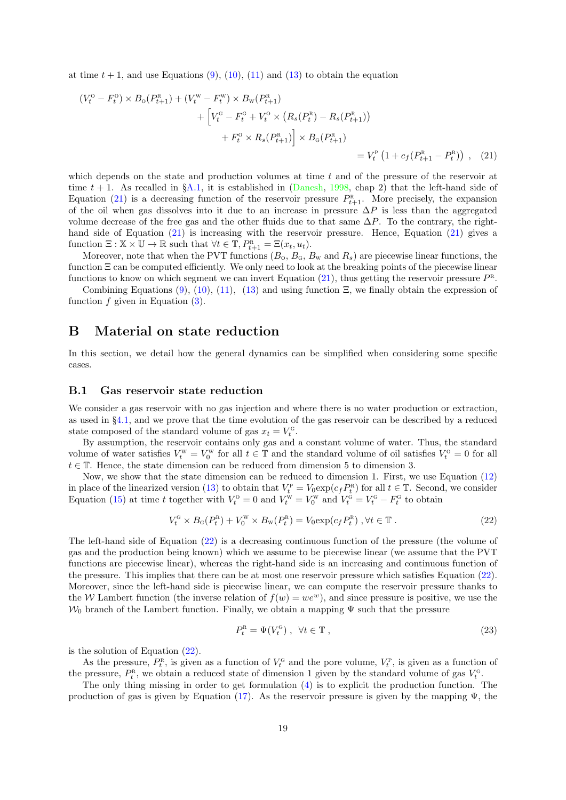at time  $t + 1$ , and use Equations [\(9\)](#page-15-2), [\(10\)](#page-15-3), [\(11\)](#page-16-3) and [\(13\)](#page-16-4) to obtain the equation

<span id="page-18-1"></span>
$$
(V_t^0 - F_t^0) \times B_0(P_{t+1}^R) + (V_t^W - F_t^W) \times B_W(P_{t+1}^R)
$$
  
+ 
$$
\left[V_t^G - F_t^G + V_t^O \times (R_s(P_t^R) - R_s(P_{t+1}^R))
$$
  
+ 
$$
F_t^O \times R_s(P_{t+1}^R) \right] \times B_G(P_{t+1}^R)
$$
  
= 
$$
V_t^P (1 + c_f(P_{t+1}^R - P_t^R)) , \quad (21)
$$

which depends on the state and production volumes at time t and of the pressure of the reservoir at time  $t + 1$ . As recalled in §[A.1,](#page-14-2) it is established in [\(Danesh,](#page-23-3) [1998,](#page-23-3) chap 2) that the left-hand side of Equation [\(21\)](#page-18-1) is a decreasing function of the reservoir pressure  $P_{t+1}^{\text{R}}$ . More precisely, the expansion of the oil when gas dissolves into it due to an increase in pressure  $\Delta P$  is less than the aggregated volume decrease of the free gas and the other fluids due to that same  $\Delta P$ . To the contrary, the right-hand side of Equation [\(21\)](#page-18-1) is increasing with the reservoir pressure. Hence, Equation (21) gives a function  $\Xi : \mathbb{X} \times \mathbb{U} \to \mathbb{R}$  such that  $\forall t \in \mathbb{T}, P_{t+1}^{\mathbb{R}} = \Xi(x_t, u_t)$ .

Moreover, note that when the PVT functions  $(B_0, B_{\rm G}, B_{\rm W})$  and  $R_s$ ) are piecewise linear functions, the function  $\Xi$  can be computed efficiently. We only need to look at the breaking points of the piecewise linear functions to know on which segment we can invert Equation  $(21)$ , thus getting the reservoir pressure  $P^{\text{R}}$ .

Combining Equations [\(9\)](#page-15-2), [\(10\)](#page-15-3), [\(11\)](#page-16-3), [\(13\)](#page-16-4) and using function  $\Xi$ , we finally obtain the expression of function  $f$  given in Equation  $(3)$ .

### <span id="page-18-0"></span>B Material on state reduction

In this section, we detail how the general dynamics can be simplified when considering some specific cases.

### B.1 Gas reservoir state reduction

We consider a gas reservoir with no gas injection and where there is no water production or extraction, as used in §[4.1,](#page-4-2) and we prove that the time evolution of the gas reservoir can be described by a reduced state composed of the standard volume of gas  $x_t = V_t^G$ .

By assumption, the reservoir contains only gas and a constant volume of water. Thus, the standard volume of water satisfies  $V_t^{\text{w}} = V_0^{\text{w}}$  for all  $t \in \mathbb{T}$  and the standard volume of oil satisfies  $V_t^{\text{o}} = 0$  for all  $t \in \mathbb{T}$ . Hence, the state dimension can be reduced from dimension 5 to dimension 3.

Now, we show that the state dimension can be reduced to dimension 1. First, we use Equation [\(12\)](#page-16-0) in place of the linearized version [\(13\)](#page-16-4) to obtain that  $V_t^{\text{P}} = V_0 \exp(c_f P_t^{\text{R}})$  for all  $t \in \mathbb{T}$ . Second, we consider Equation [\(15\)](#page-16-5) at time t together with  $V_t^0 = 0$  and  $V_t^{\text{w}} = V_0^{\text{w}}$  and  $V_t^{\text{g}} = V_t^{\text{g}} - F_t^{\text{g}}$  to obtain

<span id="page-18-2"></span>
$$
V_t^{\scriptscriptstyle\rm G} \times B_{\scriptscriptstyle\rm G}(P_t^{\scriptscriptstyle\rm R}) + V_0^{\scriptscriptstyle\rm W} \times B_{\scriptscriptstyle\rm W}(P_t^{\scriptscriptstyle\rm R}) = V_0 \exp(c_f P_t^{\scriptscriptstyle\rm R}) \,, \forall t \in \mathbb{T} \,. \tag{22}
$$

The left-hand side of Equation [\(22\)](#page-18-2) is a decreasing continuous function of the pressure (the volume of gas and the production being known) which we assume to be piecewise linear (we assume that the PVT functions are piecewise linear), whereas the right-hand side is an increasing and continuous function of the pressure. This implies that there can be at most one reservoir pressure which satisfies Equation [\(22\)](#page-18-2). Moreover, since the left-hand side is piecewise linear, we can compute the reservoir pressure thanks to the W Lambert function (the inverse relation of  $f(w) = w e^w$ ), and since pressure is positive, we use the  $W_0$  branch of the Lambert function. Finally, we obtain a mapping  $\Psi$  such that the pressure

<span id="page-18-3"></span>
$$
P_t^{\rm R} = \Psi(V_t^{\rm G}) \ , \ \forall t \in \mathbb{T} \ , \tag{23}
$$

is the solution of Equation [\(22\)](#page-18-2).

As the pressure,  $P_t^{\rm R}$ , is given as a function of  $V_t^{\rm G}$  and the pore volume,  $V_t^{\rm P}$ , is given as a function of the pressure,  $P_t^{\rm R}$ , we obtain a reduced state of dimension 1 given by the standard volume of gas  $V_t^{\rm G}$ .

The only thing missing in order to get formulation [\(4\)](#page-5-3) is to explicit the production function. The production of gas is given by Equation [\(17\)](#page-17-0). As the reservoir pressure is given by the mapping  $\Psi$ , the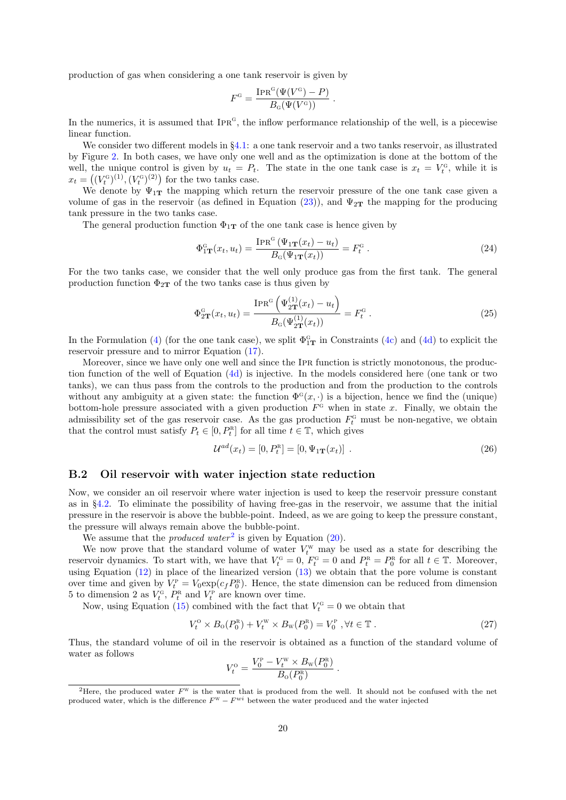production of gas when considering a one tank reservoir is given by

$$
F^{\text{G}} = \frac{\text{IPR}^{\text{G}}(\Psi(V^{\text{G}}) - P)}{B_{\text{G}}(\Psi(V^{\text{G}}))}.
$$

In the numerics, it is assumed that  $IPR<sup>G</sup>$ , the inflow performance relationship of the well, is a piecewise linear function.

We consider two different models in §[4.1:](#page-4-2) a one tank reservoir and a two tanks reservoir, as illustrated by Figure [2.](#page-5-0) In both cases, we have only one well and as the optimization is done at the bottom of the well, the unique control is given by  $u_t = P_t$ . The state in the one tank case is  $x_t = V_t^G$ , while it is  $x_t = ((V_t^G)^{(1)}, (V_t^G)^{(2)})$  for the two tanks case.

We denote by  $\Psi_{1T}$  the mapping which return the reservoir pressure of the one tank case given a volume of gas in the reservoir (as defined in Equation [\(23\)](#page-18-3)), and  $\Psi_{2T}$  the mapping for the producing tank pressure in the two tanks case.

The general production function  $\Phi_{1T}$  of the one tank case is hence given by

$$
\Phi_{1\mathbf{T}}^{\mathbf{G}}(x_t, u_t) = \frac{\text{IPR}^{\mathbf{G}}\left(\Psi_{1\mathbf{T}}(x_t) - u_t\right)}{B_{\mathbf{G}}(\Psi_{1\mathbf{T}}(x_t))} = F_t^{\mathbf{G}}.
$$
\n(24)

For the two tanks case, we consider that the well only produce gas from the first tank. The general production function  $\Phi_{2T}$  of the two tanks case is thus given by

$$
\Phi_{2\mathbf{T}}^{\mathbf{G}}(x_t, u_t) = \frac{\text{IPR}^{\mathbf{G}}\left(\Psi_{2\mathbf{T}}^{(1)}(x_t) - u_t\right)}{B_{\mathbf{G}}(\Psi_{2\mathbf{T}}^{(1)}(x_t))} = F_t^{\mathbf{G}}.
$$
\n(25)

In the Formulation [\(4\)](#page-5-3) (for the one tank case), we split  $\Phi_{1T}^{\text{G}}$  in Constraints [\(4c\)](#page-5-1) and [\(4d\)](#page-5-4) to explicit the reservoir pressure and to mirror Equation [\(17\)](#page-17-0).

Moreover, since we have only one well and since the Ipr function is strictly monotonous, the production function of the well of Equation [\(4d\)](#page-5-4) is injective. In the models considered here (one tank or two tanks), we can thus pass from the controls to the production and from the production to the controls without any ambiguity at a given state: the function  $\Phi^{\mathcal{G}}(x, \cdot)$  is a bijection, hence we find the (unique) bottom-hole pressure associated with a given production  $F^G$  when in state x. Finally, we obtain the admissibility set of the gas reservoir case. As the gas production  $F_t^G$  must be non-negative, we obtain that the control must satisfy  $P_t \in [0, P_t^R]$  for all time  $t \in \mathbb{T}$ , which gives

<span id="page-19-0"></span>
$$
\mathcal{U}^{ad}(x_t) = [0, P_t^{\text{R}}] = [0, \Psi_{1\mathbf{T}}(x_t)] \tag{26}
$$

#### B.2 Oil reservoir with water injection state reduction

Now, we consider an oil reservoir where water injection is used to keep the reservoir pressure constant as in §[4.2.](#page-12-0) To eliminate the possibility of having free-gas in the reservoir, we assume that the initial pressure in the reservoir is above the bubble-point. Indeed, as we are going to keep the pressure constant, the pressure will always remain above the bubble-point.

We assume that the *produced water*<sup>[2](#page-19-1)</sup> is given by Equation  $(20)$ .

We now prove that the standard volume of water  $V_t^{\text{w}}$  may be used as a state for describing the reservoir dynamics. To start with, we have that  $V_t^{\text{G}} = 0$ ,  $F_t^{\text{G}} = 0$  and  $P_t^{\text{R}} = P_0^{\text{R}}$  for all  $t \in \mathbb{T}$ . Moreover, using Equation [\(12\)](#page-16-0) in place of the linearized version [\(13\)](#page-16-4) we obtain that the pore volume is constant over time and given by  $V_t^{\text{P}} = V_0 \exp(c_f P_0^{\text{R}})$ . Hence, the state dimension can be reduced from dimension 5 to dimension 2 as  $V_t^{\scriptscriptstyle\text{G}}, P_t^{\scriptscriptstyle\text{R}}$  and  $V_t^{\scriptscriptstyle\text{P}}$  are known over time.

Now, using Equation [\(15\)](#page-16-5) combined with the fact that  $V_t^{\text{G}} = 0$  we obtain that

<span id="page-19-2"></span>
$$
V_t^{\text{o}} \times B_0(P_0^{\text{R}}) + V_t^{\text{W}} \times B_{\text{W}}(P_0^{\text{R}}) = V_0^{\text{P}} \text{ , } \forall t \in \mathbb{T} \text{ .}
$$
 (27)

.

Thus, the standard volume of oil in the reservoir is obtained as a function of the standard volume of water as follows p w r

$$
V_t^{\text{o}} = \frac{V_0^{\text{p}} - V_t^{\text{w}} \times B_{\text{w}}(P_0^{\text{R}})}{B_{\text{o}}(P_0^{\text{R}})}
$$

<span id="page-19-1"></span><sup>&</sup>lt;sup>2</sup>Here, the produced water  $F^{\text{w}}$  is the water that is produced from the well. It should not be confused with the net produced water, which is the difference  $F^w - F^{wi}$  between the water produced and the water injected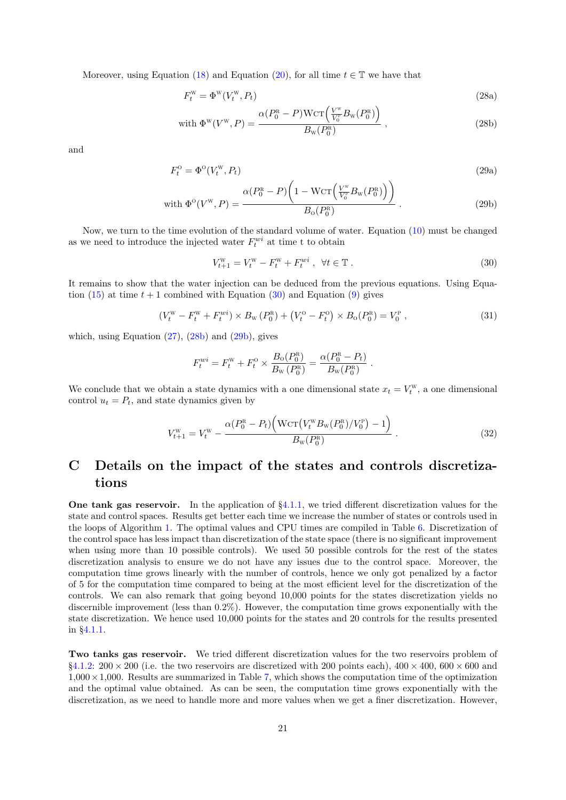Moreover, using Equation [\(18\)](#page-17-2) and Equation [\(20\)](#page-17-1), for all time  $t \in \mathbb{T}$  we have that

<span id="page-20-2"></span>
$$
F_t^{\mathbf{W}} = \Phi^{\mathbf{W}}(V_t^{\mathbf{W}}, P_t) \tag{28a}
$$

with 
$$
\Phi^{\rm w}(V^{\rm w}, P) = \frac{\alpha (P_0^{\rm R} - P) \text{Wcr}\left(\frac{V^{\rm w}}{V_0^{\rm P}} B_{\rm w}(P_0^{\rm R})\right)}{B_{\rm w}(P_0^{\rm R})}
$$
, (28b)

and

$$
F_t^{\text{o}} = \Phi^{\text{o}}(V_t^{\text{w}}, P_t) \tag{29a}
$$

with 
$$
\Phi^0(V^w, P) = \frac{\alpha (P_0^R - P) \left( 1 - WCT \left( \frac{V^w}{V_0^p} B_w(P_0^R) \right) \right)}{B_0(P_0^R)}
$$
. (29b)

Now, we turn to the time evolution of the standard volume of water. Equation [\(10\)](#page-15-3) must be changed as we need to introduce the injected water  $F_t^{wi}$  at time t to obtain

<span id="page-20-3"></span><span id="page-20-1"></span>
$$
V_{t+1}^{\mathbf{W}} = V_t^{\mathbf{W}} - F_t^{\mathbf{W}} + F_t^{wi} \ , \ \ \forall t \in \mathbb{T} \ . \tag{30}
$$

It remains to show that the water injection can be deduced from the previous equations. Using Equa-tion [\(15\)](#page-16-5) at time  $t + 1$  combined with Equation [\(30\)](#page-20-1) and Equation [\(9\)](#page-15-2) gives

$$
(V_t^{\rm w} - F_t^{\rm w} + F_t^{\rm w} i) \times B_{\rm w} (P_0^{\rm R}) + (V_t^{\rm o} - F_t^{\rm o}) \times B_{\rm o} (P_0^{\rm R}) = V_0^{\rm P} , \qquad (31)
$$

which, using Equation  $(27)$ ,  $(28b)$  and  $(29b)$ , gives

$$
F_t^{wi} = F_t^{w} + F_t^{o} \times \frac{B_o(P_0^{\rm R})}{B_{\rm W}(P_0^{\rm R})} = \frac{\alpha (P_0^{\rm R} - P_t)}{B_{\rm W}(P_0^{\rm R})}.
$$

We conclude that we obtain a state dynamics with a one dimensional state  $x_t = V_t^{\text{w}}$ , a one dimensional control  $u_t = P_t$ , and state dynamics given by

$$
V_{t+1}^{\rm w} = V_t^{\rm w} - \frac{\alpha (P_0^{\rm R} - P_t) \Big( \text{Wcr} \big( V_t^{\rm w} B_{\rm w} (P_0^{\rm R}) / V_0^{\rm P} \big) - 1 \Big)}{B_{\rm w} (P_0^{\rm R})} \,. \tag{32}
$$

# <span id="page-20-0"></span>C Details on the impact of the states and controls discretizations

One tank gas reservoir. In the application of  $\S 4.1.1$ , we tried different discretization values for the state and control spaces. Results get better each time we increase the number of states or controls used in the loops of Algorithm [1.](#page-3-1) The optimal values and CPU times are compiled in Table [6.](#page-21-0) Discretization of the control space has less impact than discretization of the state space (there is no significant improvement when using more than 10 possible controls). We used 50 possible controls for the rest of the states discretization analysis to ensure we do not have any issues due to the control space. Moreover, the computation time grows linearly with the number of controls, hence we only got penalized by a factor of 5 for the computation time compared to being at the most efficient level for the discretization of the controls. We can also remark that going beyond 10,000 points for the states discretization yields no discernible improvement (less than 0.2%). However, the computation time grows exponentially with the state discretization. We hence used 10,000 points for the states and 20 controls for the results presented in §[4.1.1.](#page-6-1)

Two tanks gas reservoir. We tried different discretization values for the two reservoirs problem of §[4.1.2:](#page-8-3)  $200 \times 200$  (i.e. the two reservoirs are discretized with 200 points each),  $400 \times 400$ ,  $600 \times 600$  and  $1,000 \times 1,000$ . Results are summarized in Table [7,](#page-21-1) which shows the computation time of the optimization and the optimal value obtained. As can be seen, the computation time grows exponentially with the discretization, as we need to handle more and more values when we get a finer discretization. However,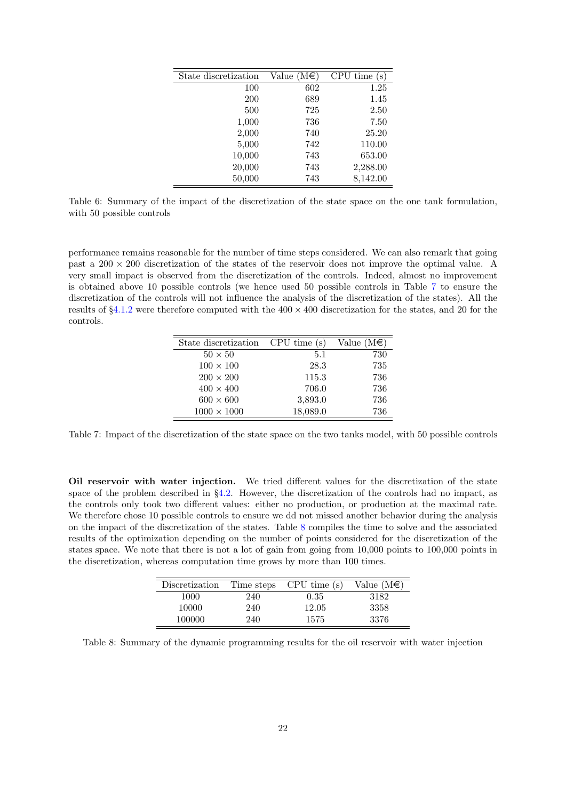| State discretization | Value $(M \in \mathcal{E})$ | CPU time<br>$\mathbf{s})$ |
|----------------------|-----------------------------|---------------------------|
| 100                  | 602                         | 1.25                      |
| 200                  | 689                         | 1.45                      |
| 500                  | 725                         | 2.50                      |
| 1,000                | 736                         | 7.50                      |
| 2,000                | 740                         | 25.20                     |
| 5,000                | 742                         | 110.00                    |
| 10,000               | 743                         | 653.00                    |
| 20,000               | 743                         | 2,288.00                  |
| 50,000               | 743                         | 8,142.00                  |

<span id="page-21-0"></span>Table 6: Summary of the impact of the discretization of the state space on the one tank formulation, with 50 possible controls

performance remains reasonable for the number of time steps considered. We can also remark that going past a  $200 \times 200$  discretization of the states of the reservoir does not improve the optimal value. A very small impact is observed from the discretization of the controls. Indeed, almost no improvement is obtained above 10 possible controls (we hence used 50 possible controls in Table [7](#page-21-1) to ensure the discretization of the controls will not influence the analysis of the discretization of the states). All the results of  $\S4.1.2$  $\S4.1.2$  were therefore computed with the  $400 \times 400$  discretization for the states, and 20 for the controls.

| State discretization | CPU time (s) | Value $(M \in)$ |
|----------------------|--------------|-----------------|
| $50 \times 50$       | 5.1          | 730             |
| $100 \times 100$     | 28.3         | 735             |
| $200 \times 200$     | 115.3        | 736             |
| $400 \times 400$     | 706.0        | 736             |
| $600 \times 600$     | 3,893.0      | 736             |
| $1000 \times 1000$   | 18,089.0     | 736             |

<span id="page-21-1"></span>Table 7: Impact of the discretization of the state space on the two tanks model, with 50 possible controls

Oil reservoir with water injection. We tried different values for the discretization of the state space of the problem described in  $\S 4.2$ . However, the discretization of the controls had no impact, as the controls only took two different values: either no production, or production at the maximal rate. We therefore chose 10 possible controls to ensure we dd not missed another behavior during the analysis on the impact of the discretization of the states. Table [8](#page-21-2) compiles the time to solve and the associated results of the optimization depending on the number of points considered for the discretization of the states space. We note that there is not a lot of gain from going from 10,000 points to 100,000 points in the discretization, whereas computation time grows by more than 100 times.

| Discretization | Time steps | CPU time(s) | Value $(M\epsilon)$ |
|----------------|------------|-------------|---------------------|
| 1000           | 240        | 0.35        | 3182                |
| 10000          | 240        | 12.05       | 3358                |
| 100000         | 240        | 1575        | 3376                |

<span id="page-21-2"></span>Table 8: Summary of the dynamic programming results for the oil reservoir with water injection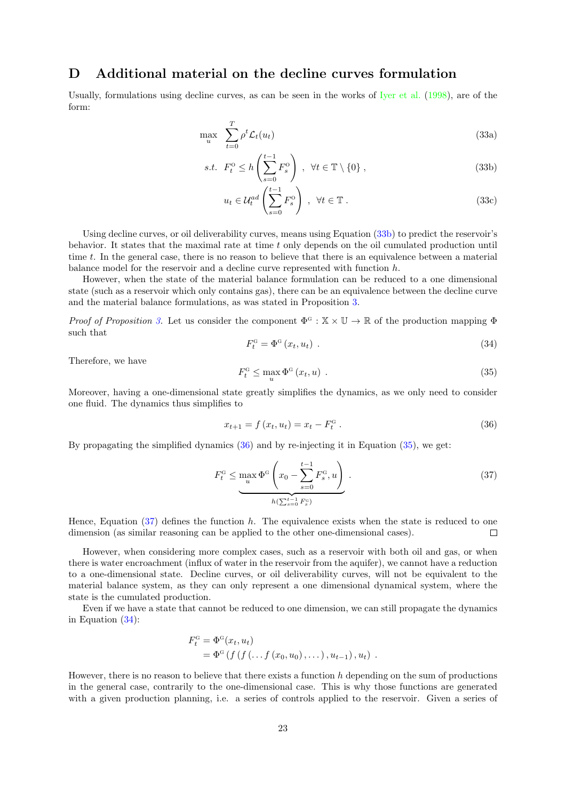## <span id="page-22-0"></span>D Additional material on the decline curves formulation

Usually, formulations using decline curves, as can be seen in the works of [Iyer et al.](#page-24-4) [\(1998\)](#page-24-4), are of the form:

$$
\max_{u} \sum_{t=0}^{T} \rho^t \mathcal{L}_t(u_t) \tag{33a}
$$

$$
s.t. \ F_t^0 \le h\left(\sum_{s=0}^{t-1} F_s^0\right) \ , \ \forall t \in \mathbb{T} \setminus \{0\} \ , \tag{33b}
$$

<span id="page-22-1"></span>
$$
u_t \in \mathcal{U}_t^{ad} \left( \sum_{s=0}^{t-1} F_s^{\mathcal{O}} \right) , \ \forall t \in \mathbb{T} . \tag{33c}
$$

Using decline curves, or oil deliverability curves, means using Equation [\(33b\)](#page-22-1) to predict the reservoir's behavior. It states that the maximal rate at time t only depends on the oil cumulated production until time t. In the general case, there is no reason to believe that there is an equivalence between a material balance model for the reservoir and a decline curve represented with function h.

However, when the state of the material balance formulation can be reduced to a one dimensional state (such as a reservoir which only contains gas), there can be an equivalence between the decline curve and the material balance formulations, as was stated in Proposition [3.](#page-8-2)

Proof of Proposition [3.](#page-8-2) Let us consider the component  $\Phi^G : \mathbb{X} \times \mathbb{U} \to \mathbb{R}$  of the production mapping  $\Phi$ such that

<span id="page-22-5"></span>
$$
F_t^{\mathcal{G}} = \Phi^{\mathcal{G}}(x_t, u_t) \tag{34}
$$

Therefore, we have

<span id="page-22-3"></span>
$$
F_t^{\mathcal{G}} \le \max_u \Phi^{\mathcal{G}}(x_t, u) \tag{35}
$$

Moreover, having a one-dimensional state greatly simplifies the dynamics, as we only need to consider one fluid. The dynamics thus simplifies to

<span id="page-22-2"></span>
$$
x_{t+1} = f(x_t, u_t) = x_t - F_t^{\rm G}.
$$
\n(36)

By propagating the simplified dynamics  $(36)$  and by re-injecting it in Equation  $(35)$ , we get:

<span id="page-22-4"></span>
$$
F_t^{\text{G}} \le \max_{u} \Phi^{\text{G}} \left( x_0 - \sum_{s=0}^{t-1} F_s^{\text{G}}, u \right) \tag{37}
$$

Hence, Equation  $(37)$  defines the function h. The equivalence exists when the state is reduced to one dimension (as similar reasoning can be applied to the other one-dimensional cases).  $\Box$ 

However, when considering more complex cases, such as a reservoir with both oil and gas, or when there is water encroachment (influx of water in the reservoir from the aquifer), we cannot have a reduction to a one-dimensional state. Decline curves, or oil deliverability curves, will not be equivalent to the material balance system, as they can only represent a one dimensional dynamical system, where the state is the cumulated production.

Even if we have a state that cannot be reduced to one dimension, we can still propagate the dynamics in Equation [\(34\)](#page-22-5):

$$
F_t^{\text{G}} = \Phi^{\text{G}}(x_t, u_t)
$$
  
=  $\Phi^{\text{G}}(f(f(...f(x_0, u_0), ...), u_{t-1}), u_t)$ .

However, there is no reason to believe that there exists a function h depending on the sum of productions in the general case, contrarily to the one-dimensional case. This is why those functions are generated with a given production planning, i.e. a series of controls applied to the reservoir. Given a series of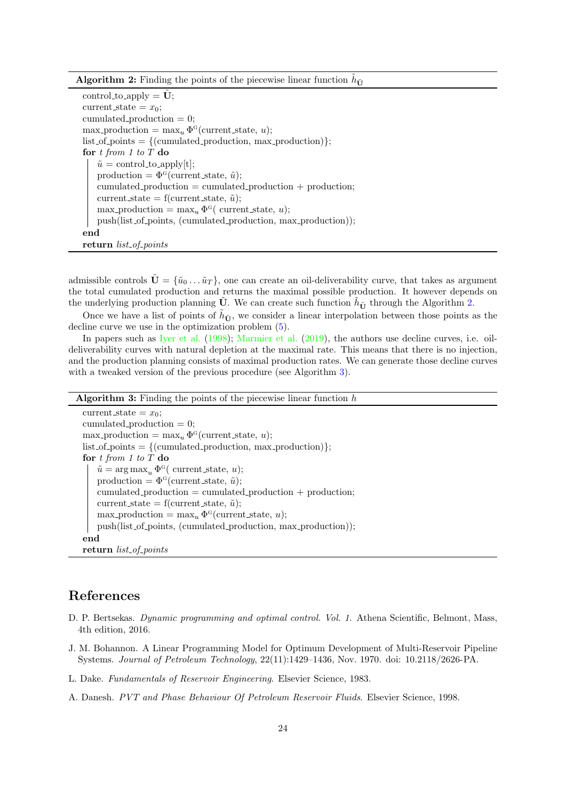Algorithm 2: Finding the points of the piecewise linear function  $\tilde{h}_{\tilde{\mathbf{U}}}$ 

control\_to\_apply =  $\tilde{\mathbf{U}}$ ; current\_state =  $x_0$ ; cumulated production  $= 0;$  $\max_{u} \text{production} = \max_{u} \Phi^{\text{G}}(\text{current\_state}, u);$  $list_of\_points = {(cumulated\_production, max\_production)};$ for  $t$  from  $1$  to  $T$  do  $\tilde{u} = \text{control_to}$ . production =  $\Phi^{\text{G}}$ (current\_state,  $\tilde{u}$ );  $cumulated\_production = cumulated\_production + production;$ current state = f(current state,  $\tilde{u}$ );  $\max_{u} \text{production} = \max_{u} \Phi^{\text{G}}(\text{ current\_state}, u);$ push(list of points, (cumulated production, max production)); end return list\_of\_points

<span id="page-23-4"></span>admissible controls  $\mathbf{U} = {\mathbf{\tilde{u}}_0 \dots \tilde{u}_T}$ , one can create an oil-deliverability curve, that takes as argument the total cumulated production and returns the maximal possible production. It however depends on the underlying production planning  $\tilde{U}$ . We can create such function  $\tilde{h}_{\tilde{U}}$  through the Algorithm [2.](#page-23-4)

Once we have a list of points of  $\tilde{h}_{\tilde{U}}$ , we consider a linear interpolation between those points as the decline curve we use in the optimization problem  $(5)$ .

In papers such as [Iyer et al.](#page-24-4) [\(1998\)](#page-24-4); [Marmier et al.](#page-24-6) [\(2019\)](#page-24-6), the authors use decline curves, i.e. oildeliverability curves with natural depletion at the maximal rate. This means that there is no injection, and the production planning consists of maximal production rates. We can generate those decline curves with a tweaked version of the previous procedure (see Algorithm [3\)](#page-23-5).

| <b>Algorithm 3:</b> Finding the points of the piecewise linear function $h$ |
|-----------------------------------------------------------------------------|
| current_state = $x_0$ ;                                                     |
| cumulated_production $= 0$ ;                                                |
| $\max_{u}$ -production = $\max_{u} \Phi^{\text{G}}$ (current_state, u);     |
| $list_of_points = \{(cumulated\_production, max\_production)\};$            |
| for $t$ from 1 to T do                                                      |
| $\tilde{u} = \arg \max_{u} \Phi^{\text{G}}($ current_state, u);             |
| production = $\Phi^{\text{G}}$ (current_state, $\tilde{u}$ );               |
| cumulated_production = cumulated_production + production;                   |
| current_state = f(current_state, $\tilde{u}$ );                             |
| $\max_{u}$ production = $\max_{u} \Phi^{\text{G}}$ (current state, u);      |
| push(list_of_points, (cumulated_production, max_production));               |
| end                                                                         |
| return <i>list_of_points</i>                                                |

### <span id="page-23-5"></span>References

- <span id="page-23-2"></span>D. P. Bertsekas. Dynamic programming and optimal control. Vol. 1. Athena Scientific, Belmont, Mass, 4th edition, 2016.
- <span id="page-23-0"></span>J. M. Bohannon. A Linear Programming Model for Optimum Development of Multi-Reservoir Pipeline Systems. Journal of Petroleum Technology, 22(11):1429–1436, Nov. 1970. doi: 10.2118/2626-PA.
- <span id="page-23-1"></span>L. Dake. Fundamentals of Reservoir Engineering. Elsevier Science, 1983.
- <span id="page-23-3"></span>A. Danesh. PVT and Phase Behaviour Of Petroleum Reservoir Fluids. Elsevier Science, 1998.